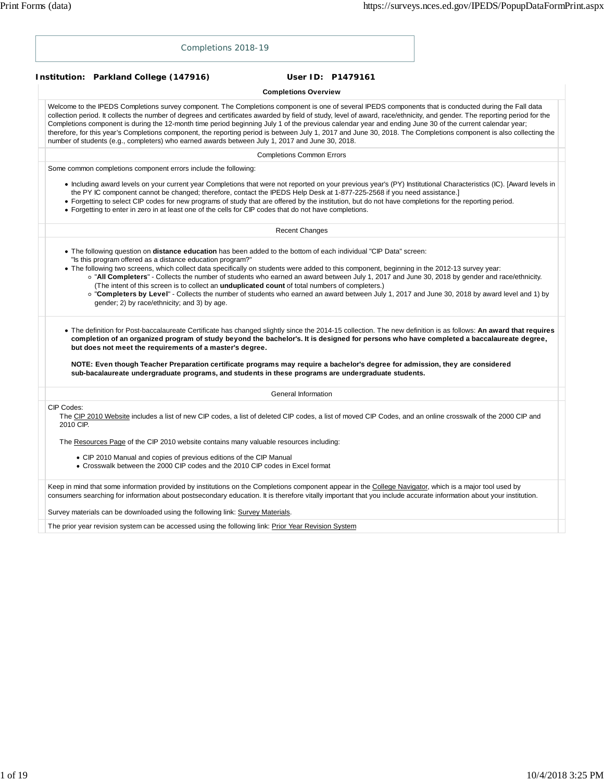|                         |  |                                                                                                                                                                                                                                                                                                                                                                                                                                                                                                                                                                                                                                                                                                                                                                          | Completions 2018-19                                                                                 |                                  |                             |  |                   |  |  |  |  |
|-------------------------|--|--------------------------------------------------------------------------------------------------------------------------------------------------------------------------------------------------------------------------------------------------------------------------------------------------------------------------------------------------------------------------------------------------------------------------------------------------------------------------------------------------------------------------------------------------------------------------------------------------------------------------------------------------------------------------------------------------------------------------------------------------------------------------|-----------------------------------------------------------------------------------------------------|----------------------------------|-----------------------------|--|-------------------|--|--|--|--|
|                         |  | Institution: Parkland College (147916)                                                                                                                                                                                                                                                                                                                                                                                                                                                                                                                                                                                                                                                                                                                                   |                                                                                                     |                                  |                             |  | User ID: P1479161 |  |  |  |  |
|                         |  |                                                                                                                                                                                                                                                                                                                                                                                                                                                                                                                                                                                                                                                                                                                                                                          |                                                                                                     |                                  | <b>Completions Overview</b> |  |                   |  |  |  |  |
|                         |  | Welcome to the IPEDS Completions survey component. The Completions component is one of several IPEDS components that is conducted during the Fall data<br>collection period. It collects the number of degrees and certificates awarded by field of study, level of award, race/ethnicity, and gender. The reporting period for the<br>Completions component is during the 12-month time period beginning July 1 of the previous calendar year and ending June 30 of the current calendar year;<br>therefore, for this year's Completions component, the reporting period is between July 1, 2017 and June 30, 2018. The Completions component is also collecting the<br>number of students (e.g., completers) who earned awards between July 1, 2017 and June 30, 2018. |                                                                                                     |                                  |                             |  |                   |  |  |  |  |
|                         |  |                                                                                                                                                                                                                                                                                                                                                                                                                                                                                                                                                                                                                                                                                                                                                                          |                                                                                                     | <b>Completions Common Errors</b> |                             |  |                   |  |  |  |  |
|                         |  | Some common completions component errors include the following:                                                                                                                                                                                                                                                                                                                                                                                                                                                                                                                                                                                                                                                                                                          |                                                                                                     |                                  |                             |  |                   |  |  |  |  |
|                         |  | • Including award levels on your current year Completions that were not reported on your previous year's (PY) Institutional Characteristics (IC). [Award levels in<br>the PY IC component cannot be changed; therefore, contact the IPEDS Help Desk at 1-877-225-2568 if you need assistance.]<br>• Forgetting to select CIP codes for new programs of study that are offered by the institution, but do not have completions for the reporting period.<br>• Forgetting to enter in zero in at least one of the cells for CIP codes that do not have completions.                                                                                                                                                                                                        |                                                                                                     |                                  |                             |  |                   |  |  |  |  |
|                         |  |                                                                                                                                                                                                                                                                                                                                                                                                                                                                                                                                                                                                                                                                                                                                                                          |                                                                                                     |                                  | <b>Recent Changes</b>       |  |                   |  |  |  |  |
|                         |  | "Is this program offered as a distance education program?"<br>• The following two screens, which collect data specifically on students were added to this component, beginning in the 2012-13 survey year:<br>o "All Completers" - Collects the number of students who earned an award between July 1, 2017 and June 30, 2018 by gender and race/ethnicity.<br>(The intent of this screen is to collect an <i>unduplicated count</i> of total numbers of completers.)<br>o "Completers by Level" - Collects the number of students who earned an award between July 1, 2017 and June 30, 2018 by award level and 1) by<br>gender; 2) by race/ethnicity; and 3) by age.                                                                                                   |                                                                                                     |                                  |                             |  |                   |  |  |  |  |
|                         |  | • The definition for Post-baccalaureate Certificate has changed slightly since the 2014-15 collection. The new definition is as follows: An award that requires<br>completion of an organized program of study beyond the bachelor's. It is designed for persons who have completed a baccalaureate degree,<br>but does not meet the requirements of a master's degree.                                                                                                                                                                                                                                                                                                                                                                                                  |                                                                                                     |                                  |                             |  |                   |  |  |  |  |
|                         |  | NOTE: Even though Teacher Preparation certificate programs may require a bachelor's degree for admission, they are considered<br>sub-bacalaureate undergraduate programs, and students in these programs are undergraduate students.                                                                                                                                                                                                                                                                                                                                                                                                                                                                                                                                     |                                                                                                     |                                  |                             |  |                   |  |  |  |  |
|                         |  |                                                                                                                                                                                                                                                                                                                                                                                                                                                                                                                                                                                                                                                                                                                                                                          |                                                                                                     |                                  | General Information         |  |                   |  |  |  |  |
| CIP Codes:<br>2010 CIP. |  | The CIP 2010 Website includes a list of new CIP codes, a list of deleted CIP codes, a list of moved CIP Codes, and an online crosswalk of the 2000 CIP and                                                                                                                                                                                                                                                                                                                                                                                                                                                                                                                                                                                                               |                                                                                                     |                                  |                             |  |                   |  |  |  |  |
|                         |  | The Resources Page of the CIP 2010 website contains many valuable resources including:                                                                                                                                                                                                                                                                                                                                                                                                                                                                                                                                                                                                                                                                                   |                                                                                                     |                                  |                             |  |                   |  |  |  |  |
|                         |  | • CIP 2010 Manual and copies of previous editions of the CIP Manual<br>• Crosswalk between the 2000 CIP codes and the 2010 CIP codes in Excel format                                                                                                                                                                                                                                                                                                                                                                                                                                                                                                                                                                                                                     |                                                                                                     |                                  |                             |  |                   |  |  |  |  |
|                         |  | Keep in mind that some information provided by institutions on the Completions component appear in the College Navigator, which is a major tool used by<br>consumers searching for information about postsecondary education. It is therefore vitally important that you include accurate information about your institution.                                                                                                                                                                                                                                                                                                                                                                                                                                            |                                                                                                     |                                  |                             |  |                   |  |  |  |  |
|                         |  | Survey materials can be downloaded using the following link: Survey Materials.                                                                                                                                                                                                                                                                                                                                                                                                                                                                                                                                                                                                                                                                                           |                                                                                                     |                                  |                             |  |                   |  |  |  |  |
|                         |  |                                                                                                                                                                                                                                                                                                                                                                                                                                                                                                                                                                                                                                                                                                                                                                          | The prior year revision system can be accessed using the following link: Prior Year Revision System |                                  |                             |  |                   |  |  |  |  |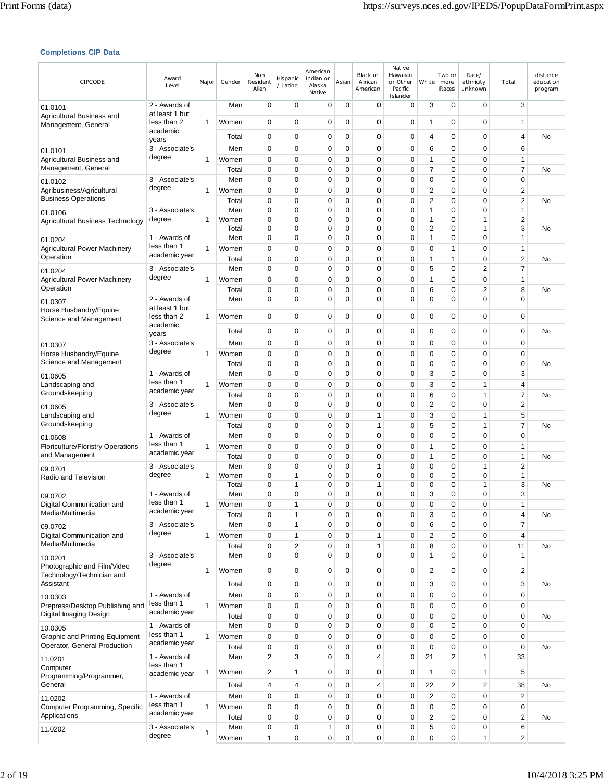# **Completions CIP Data**

| CIPCODE                                                    | Award<br>Level                  | Major        | Gender         | Non<br>Resident<br>Alien   | Hispanic<br>/ Latino       | American<br>Indian or<br>Alaska<br>Native | Asian       | Black or<br>African<br>American | Native<br>Hawaiian<br>or Other<br>Pacific<br>Islander | White                   | Two or<br>more<br>Races | Race/<br>ethnicity<br>unknown | Total                      | distance<br>education<br>program |
|------------------------------------------------------------|---------------------------------|--------------|----------------|----------------------------|----------------------------|-------------------------------------------|-------------|---------------------------------|-------------------------------------------------------|-------------------------|-------------------------|-------------------------------|----------------------------|----------------------------------|
| 01.0101                                                    | 2 - Awards of<br>at least 1 but |              | Men            | $\mathbf 0$                | 0                          | 0                                         | 0           | $\mathbf 0$                     | 0                                                     | 3                       | 0                       | 0                             | 3                          |                                  |
| Agricultural Business and<br>Management, General           | less than 2<br>academic         | 1            | Women          | $\mathbf 0$                | 0                          | 0                                         | 0           | 0                               | 0                                                     | 1                       | 0                       | $\mathbf 0$                   | 1                          |                                  |
|                                                            | years                           |              | Total          | 0                          | $\mathbf 0$                | 0                                         | $\mathbf 0$ | 0                               | 0                                                     | 4                       | 0                       | $\mathbf 0$                   | 4                          | No                               |
| 01.0101                                                    | 3 - Associate's<br>degree       |              | Men            | 0<br>$\mathbf 0$           | 0<br>$\mathbf 0$           | 0<br>0                                    | 0<br>0      | 0<br>$\mathbf 0$                | 0<br>0                                                | 6<br>1                  | 0<br>0                  | 0<br>$\mathbf 0$              | 6<br>$\mathbf{1}$          |                                  |
| Agricultural Business and<br>Management, General           |                                 | 1            | Women<br>Total | $\mathbf 0$                | 0                          | 0                                         | 0           | $\mathbf 0$                     | $\mathbf 0$                                           | 7                       | 0                       | $\mathbf 0$                   | 7                          | No                               |
| 01.0102                                                    | 3 - Associate's                 |              | Men            | 0                          | $\mathbf 0$                | 0                                         | 0           | 0                               | 0                                                     | 0                       | 0                       | $\mathbf 0$                   | $\mathbf 0$                |                                  |
| Agribusiness/Agricultural<br><b>Business Operations</b>    | degree                          | 1            | Women<br>Total | 0<br>$\mathbf 0$           | $\mathbf 0$<br>$\mathbf 0$ | 0<br>0                                    | 0<br>0      | $\mathbf 0$<br>$\mathbf 0$      | 0<br>0                                                | 2<br>2                  | 0<br>0                  | $\mathbf 0$<br>$\mathbf 0$    | 2<br>$\overline{2}$        | No                               |
| 01.0106                                                    | 3 - Associate's                 |              | Men            | $\mathbf 0$                | $\mathbf 0$                | 0                                         | 0           | 0                               | 0                                                     | 1                       | 0                       | $\mathbf 0$                   | $\mathbf{1}$               |                                  |
| Agricultural Business Technology                           | degree                          | 1            | Women          | 0                          | 0                          | 0                                         | 0           | 0                               | 0                                                     | 1                       | 0                       | $\mathbf{1}$                  | 2                          |                                  |
| 01.0204                                                    | 1 - Awards of                   |              | Total<br>Men   | 0<br>0                     | $\mathbf 0$<br>$\mathbf 0$ | 0<br>0                                    | 0<br>0      | $\mathbf 0$<br>$\mathbf 0$      | 0<br>0                                                | 2<br>1                  | 0<br>0                  | $\mathbf{1}$<br>$\mathbf 0$   | 3<br>1                     | No                               |
| <b>Agricultural Power Machinery</b>                        | less than 1                     | 1            | Women          | 0                          | 0                          | 0                                         | 0           | 0                               | 0                                                     | 0                       | 1                       | $\mathbf 0$                   | $\mathbf{1}$               |                                  |
| Operation                                                  | academic year                   |              | Total          | $\mathbf 0$                | $\mathbf 0$                | 0                                         | 0           | $\mathbf 0$                     | 0                                                     | 1                       | 1                       | $\mathbf 0$                   | 2                          | No                               |
| 01.0204                                                    | 3 - Associate's<br>degree       |              | Men            | $\mathbf 0$<br>0           | $\mathbf 0$<br>$\mathbf 0$ | 0<br>0                                    | 0<br>0      | 0<br>$\mathbf 0$                | 0<br>0                                                | 5                       | 0                       | $\overline{2}$                | 7                          |                                  |
| <b>Agricultural Power Machinery</b><br>Operation           |                                 | 1            | Women<br>Total | $\mathbf 0$                | 0                          | 0                                         | 0           | 0                               | 0                                                     | 1<br>6                  | 0<br>0                  | 0<br>$\sqrt{2}$               | 1<br>8                     | No                               |
| 01.0307                                                    | 2 - Awards of                   |              | Men            | $\mathbf 0$                | $\mathbf 0$                | 0                                         | 0           | $\mathbf 0$                     | 0                                                     | 0                       | 0                       | $\mathbf 0$                   | $\mathbf 0$                |                                  |
| Horse Husbandry/Equine                                     | at least 1 but<br>less than 2   | 1            | Women          | 0                          | 0                          | 0                                         | 0           | 0                               | 0                                                     | 0                       | 0                       | 0                             | 0                          |                                  |
| Science and Management                                     | academic                        |              |                |                            |                            | 0                                         | 0           |                                 |                                                       |                         |                         | $\mathbf 0$                   |                            |                                  |
|                                                            | years<br>3 - Associate's        |              | Total<br>Men   | $\mathbf 0$<br>$\mathbf 0$ | 0<br>0                     | 0                                         | 0           | 0<br>0                          | 0<br>0                                                | 0<br>0                  | 0<br>0                  | $\mathbf 0$                   | $\mathbf 0$<br>$\mathbf 0$ | No                               |
| 01.0307<br>Horse Husbandry/Equine                          | degree                          | 1            | Women          | $\mathbf 0$                | $\mathbf 0$                | 0                                         | 0           | $\mathbf 0$                     | 0                                                     | 0                       | 0                       | $\mathbf 0$                   | $\mathbf 0$                |                                  |
| Science and Management                                     |                                 |              | Total          | 0                          | $\mathbf 0$                | 0                                         | 0           | $\mathbf 0$                     | 0                                                     | 0                       | 0                       | $\mathbf 0$                   | $\mathbf 0$                | No                               |
| 01.0605                                                    | 1 - Awards of                   |              | Men            | 0                          | $\mathbf 0$                | 0                                         | 0           | $\mathbf 0$                     | 0                                                     | 3                       | 0                       | $\mathbf 0$                   | 3                          |                                  |
| Landscaping and<br>Groundskeeping                          | less than 1<br>academic year    | 1            | Women          | 0                          | $\mathbf 0$                | 0                                         | 0           | 0                               | 0                                                     | 3                       | 0                       | $\mathbf{1}$                  | 4                          |                                  |
|                                                            | 3 - Associate's                 |              | Total<br>Men   | $\mathbf 0$<br>$\mathbf 0$ | $\mathbf 0$<br>$\mathbf 0$ | 0<br>0                                    | 0<br>0      | $\mathbf 0$<br>0                | 0<br>0                                                | 6<br>2                  | 0<br>0                  | $\mathbf{1}$<br>$\mathbf 0$   | 7<br>$\overline{2}$        | No                               |
| 01.0605<br>Landscaping and                                 | degree                          | 1            | Women          | 0                          | 0                          | 0                                         | 0           | 1                               | $\mathbf 0$                                           | 3                       | 0                       | $\mathbf{1}$                  | 5                          |                                  |
| Groundskeeping                                             |                                 |              | Total          | $\mathbf 0$                | $\mathbf 0$                | 0                                         | 0           | $\mathbf{1}$                    | 0                                                     | 5                       | 0                       | $\mathbf{1}$                  | 7                          | No                               |
| 01.0608                                                    | 1 - Awards of<br>less than 1    |              | Men            | 0                          | $\mathbf 0$                | 0                                         | 0           | 0                               | 0                                                     | 0                       | 0                       | $\mathbf 0$                   | $\mathbf 0$                |                                  |
| <b>Floriculture/Floristry Operations</b><br>and Management | academic year                   | 1            | Women<br>Total | $\mathbf 0$<br>$\mathbf 0$ | $\mathbf 0$<br>$\mathbf 0$ | 0<br>0                                    | 0<br>0      | $\mathbf 0$<br>0                | 0<br>0                                                | 1<br>1                  | 0<br>0                  | $\mathbf 0$<br>$\mathbf 0$    | $\mathbf{1}$<br>1          | No                               |
| 09.0701                                                    | 3 - Associate's                 |              | Men            | $\mathbf 0$                | 0                          | 0                                         | 0           | $\mathbf{1}$                    | 0                                                     | 0                       | 0                       | $\mathbf{1}$                  | 2                          |                                  |
| Radio and Television                                       | degree                          | 1            | Women          | $\mathbf 0$                | 1                          | 0                                         | 0           | $\mathbf 0$                     | $\mathbf 0$                                           | 0                       | 0                       | $\mathbf 0$                   | $\mathbf{1}$               |                                  |
| 09.0702                                                    | 1 - Awards of                   |              | Total<br>Men   | 0<br>0                     | 1<br>0                     | 0<br>0                                    | 0<br>0      | $\mathbf{1}$<br>0               | 0<br>$\mathbf 0$                                      | 0<br>3                  | 0<br>0                  | $\mathbf{1}$<br>$\mathbf 0$   | 3<br>3                     | No                               |
| Digital Communication and                                  | less than 1                     | 1            | Women          | $\Omega$                   | $\overline{1}$             | $\Omega$                                  | $\Omega$    | $\Omega$                        | $\Omega$                                              | $\Omega$                | $\Omega$                | $\Omega$                      | 1                          |                                  |
| Media/Multimedia                                           | academic year                   |              | Total          | $\mathbf 0$                | 1                          | 0                                         | 0           | 0                               | 0                                                     | 3                       | 0                       | $\pmb{0}$                     | 4                          | No                               |
| 09.0702                                                    | 3 - Associate's<br>degree       |              | Men            | $\mathbf 0$<br>$\mathbf 0$ | 1<br>1                     | 0<br>0                                    | 0<br>0      | 0                               | 0<br>0                                                | 6                       | 0<br>0                  | $\mathbf 0$<br>$\mathbf 0$    | 7<br>4                     |                                  |
| Digital Communication and<br>Media/Multimedia              |                                 | $\mathbf{1}$ | Women<br>Total | $\mathbf 0$                | $\overline{\mathbf{c}}$    | 0                                         | 0           | $\mathbf{1}$<br>1               | 0                                                     | 2<br>8                  | 0                       | $\mathbf 0$                   | 11                         | No                               |
| 10.0201                                                    | 3 - Associate's                 |              | Men            | $\mathbf 0$                | 0                          | 0                                         | 0           | 0                               | 0                                                     | 1                       | 0                       | $\mathbf 0$                   | 1                          |                                  |
| Photographic and Film/Video                                | degree                          | 1            | Women          | $\mathbf 0$                | $\mathbf 0$                | 0                                         | 0           | 0                               | 0                                                     | 2                       | 0                       | 0                             | 2                          |                                  |
| Technology/Technician and<br>Assistant                     |                                 |              | Total          | $\mathbf 0$                | $\mathbf 0$                | 0                                         | $\mathbf 0$ | 0                               | $\mathbf 0$                                           | 3                       | $\mathbf 0$             | $\mathbf 0$                   | 3                          | No                               |
| 10.0303                                                    | 1 - Awards of                   |              | Men            | $\mathbf 0$                | 0                          | 0                                         | 0           | 0                               | 0                                                     | 0                       | 0                       | $\mathbf 0$                   | $\mathbf 0$                |                                  |
| Prepress/Desktop Publishing and                            | less than 1<br>academic year    | 1            | Women          | $\mathbf 0$                | $\mathbf 0$                | $\mathbf 0$                               | 0           | 0                               | 0                                                     | 0                       | 0                       | $\mathbf 0$                   | 0                          |                                  |
| Digital Imaging Design                                     | 1 - Awards of                   |              | Total<br>Men   | $\mathbf 0$<br>$\pmb{0}$   | $\mathbf 0$<br>$\pmb{0}$   | 0<br>0                                    | 0<br>0      | $\mathbf 0$<br>$\pmb{0}$        | 0<br>0                                                | 0<br>0                  | 0<br>0                  | $\mathbf 0$<br>$\mathbf 0$    | $\mathbf 0$<br>$\pmb{0}$   | No                               |
| 10.0305<br><b>Graphic and Printing Equipment</b>           | less than 1                     | 1            | Women          | $\mathbf 0$                | 0                          | 0                                         | 0           | $\mathbf 0$                     | 0                                                     | 0                       | 0                       | $\mathbf 0$                   | $\mathbf 0$                |                                  |
| Operator, General Production                               | academic year                   |              | Total          | $\pmb{0}$                  | 0                          | 0                                         | 0           | 0                               | $\mathbf 0$                                           | 0                       | 0                       | $\mathbf 0$                   | $\mathbf 0$                | No                               |
| 11.0201                                                    | 1 - Awards of                   |              | Men            | $\overline{2}$             | 3                          | 0                                         | 0           | 4                               | 0                                                     | 21                      | $\overline{2}$          | $\mathbf{1}$                  | 33                         |                                  |
| Computer<br>Programming/Programmer,                        | less than 1<br>academic year    | 1            | Women          | $\overline{\mathbf{c}}$    | 1                          | 0                                         | 0           | 0                               | 0                                                     | 1                       | 0                       | $\mathbf{1}$                  | 5                          |                                  |
| General                                                    |                                 |              | Total          | 4                          | 4                          | 0                                         | 0           | 4                               | 0                                                     | 22                      | $\overline{2}$          | $\overline{2}$                | 38                         | No                               |
| 11.0202                                                    | 1 - Awards of                   |              | Men            | $\mathbf 0$                | 0                          | 0                                         | 0           | $\mathbf 0$                     | 0                                                     | $\overline{\mathbf{c}}$ | 0                       | $\mathbf 0$                   | $\overline{\mathbf{c}}$    |                                  |
| Computer Programming, Specific                             | less than 1<br>academic year    | $\mathbf{1}$ | Women          | $\mathbf 0$                | 0                          | 0                                         | 0           | $\mathbf 0$                     | $\mathbf 0$                                           | 0                       | 0                       | $\mathbf 0$                   | 0                          |                                  |
| Applications                                               | 3 - Associate's                 |              | Total<br>Men   | $\mathbf 0$<br>$\pmb{0}$   | 0<br>0                     | 0<br>1                                    | 0<br>0      | $\mathbf 0$<br>0                | 0<br>0                                                | 2<br>5                  | 0<br>0                  | $\mathbf 0$<br>$\pmb{0}$      | 2<br>6                     | No                               |
| 11.0202                                                    | degree                          | 1            | Women          | 1                          | 0                          | 0                                         | 0           | 0                               | $\mathbf 0$                                           | 0                       | 0                       | $\mathbf{1}$                  | 2                          |                                  |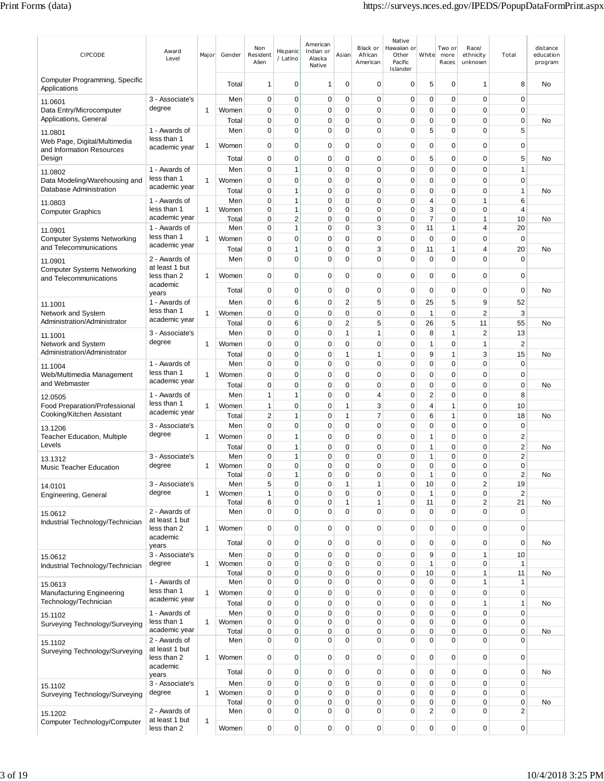| CIPCODE                                                    | Award<br>Level                  | Major | Gender         | Non<br>Resident<br>Alien      | Hispanic<br>/ Latino        | American<br>Indian or<br>Alaska<br>Native | Asian                        | Black or<br>African<br>American | Native<br>Hawaiian or<br>Other<br>Pacific<br>Islander | White                      | Two or<br>more<br>Races | Race/<br>ethnicity<br>unknown | Total                       | distance<br>education<br>program |
|------------------------------------------------------------|---------------------------------|-------|----------------|-------------------------------|-----------------------------|-------------------------------------------|------------------------------|---------------------------------|-------------------------------------------------------|----------------------------|-------------------------|-------------------------------|-----------------------------|----------------------------------|
| Computer Programming, Specific<br>Applications             |                                 |       | Total          | 1                             | 0                           | 1                                         | 0                            | $\mathbf 0$                     | 0                                                     | 5                          | 0                       | 1                             | 8                           | No                               |
| 11.0601                                                    | 3 - Associate's                 |       | Men            | 0                             | 0                           | $\mathbf 0$                               | 0                            | $\mathbf 0$                     | $\mathbf 0$                                           | $\mathbf 0$                | 0                       | $\mathbf 0$                   | $\mathbf 0$                 |                                  |
| Data Entry/Microcomputer<br>Applications, General          | degree                          | 1     | Women<br>Total | 0<br>0                        | $\mathbf 0$<br>$\pmb{0}$    | 0<br>0                                    | 0<br>0                       | 0<br>0                          | 0<br>0                                                | $\mathbf 0$<br>$\mathbf 0$ | 0<br>0                  | 0<br>0                        | $\mathbf 0$<br>$\mathbf 0$  | No                               |
| 11.0801                                                    | 1 - Awards of                   |       | Men            | 0                             | $\mathbf 0$                 | $\mathbf 0$                               | 0                            | 0                               | 0                                                     | 5                          | 0                       | 0                             | 5                           |                                  |
| Web Page, Digital/Multimedia<br>and Information Resources  | less than 1<br>academic year    | 1     | Women          | 0                             | 0                           | $\mathbf 0$                               | 0                            | 0                               | 0                                                     | $\mathbf 0$                | 0                       | $\mathbf 0$                   | 0                           |                                  |
| Design                                                     |                                 |       | Total          | 0                             | $\mathbf 0$                 | 0                                         | 0                            | 0                               | 0                                                     | 5                          | 0                       | $\mathbf 0$                   | 5                           | <b>No</b>                        |
| 11.0802                                                    | 1 - Awards of                   |       | Men            | 0                             | 1                           | 0                                         | 0                            | 0                               | 0                                                     | $\mathbf 0$                | 0                       | 0                             | $\mathbf{1}$                |                                  |
| Data Modeling/Warehousing and<br>Database Administration   | less than 1<br>academic year    | 1     | Women<br>Total | 0<br>0                        | $\mathbf 0$<br>1            | $\mathbf 0$<br>0                          | 0<br>0                       | 0<br>$\mathbf 0$                | 0<br>0                                                | $\mathbf 0$<br>$\mathbf 0$ | 0<br>0                  | 0<br>0                        | 0<br>$\mathbf{1}$           | No                               |
| 11.0803                                                    | 1 - Awards of                   |       | Men            | $\mathbf 0$                   | 1                           | 0                                         | 0                            | 0                               | 0                                                     | $\overline{4}$             | 0                       | 1                             | 6                           |                                  |
| <b>Computer Graphics</b>                                   | less than 1                     | 1     | Women          | $\overline{0}$                | 1                           | 0                                         | $\overline{0}$               | 0                               | 0                                                     | 3                          | 0                       | 0                             | 4                           |                                  |
| 11.0901                                                    | academic year<br>1 - Awards of  |       | Total<br>Men   | 0<br>0                        | 2<br>1                      | 0<br>0                                    | 0<br>0                       | 0<br>3                          | 0<br>0                                                | $\overline{7}$<br>11       | 0<br>1                  | 1<br>4                        | 10<br>20                    | No                               |
| <b>Computer Systems Networking</b>                         | less than 1                     | 1     | Women          | 0                             | 0                           | 0                                         | 0                            | 0                               | $\mathbf 0$                                           | $\mathbf 0$                | 0                       | $\mathbf 0$                   | $\mathbf 0$                 |                                  |
| and Telecommunications                                     | academic year                   |       | Total          | 0                             | 1                           | 0                                         | $\mathbf 0$                  | 3                               | 0                                                     | 11                         | 1                       | 4                             | 20                          | No                               |
| 11.0901<br><b>Computer Systems Networking</b>              | 2 - Awards of<br>at least 1 but |       | Men            | 0                             | 0                           | 0                                         | 0                            | 0                               | 0                                                     | $\mathbf 0$                | 0                       | 0                             | 0                           |                                  |
| and Telecommunications                                     | less than 2<br>academic         | 1     | Women          | 0                             | $\mathbf 0$                 | 0                                         | 0                            | 0                               | 0                                                     | 0                          | 0                       | 0                             | $\mathbf 0$                 |                                  |
|                                                            | years                           |       | Total          | 0                             | $\mathbf 0$                 | $\mathbf 0$                               | 0                            | 0                               | 0                                                     | $\mathbf 0$                | 0                       | $\mathbf 0$                   | $\mathbf 0$                 | <b>No</b>                        |
| 11.1001                                                    | 1 - Awards of                   |       | Men            | 0                             | 6                           | $\mathbf 0$                               | 2                            | 5                               | 0                                                     | 25                         | 5                       | 9                             | 52                          |                                  |
| Network and System<br>Administration/Administrator         | less than 1<br>academic year    | 1     | Women<br>Total | $\mathbf 0$<br>0              | 0<br>6                      | 0<br>0                                    | 0<br>$\overline{\mathbf{c}}$ | 0<br>5                          | $\mathbf 0$<br>0                                      | $\mathbf{1}$<br>26         | 0<br>5                  | $\overline{2}$<br>11          | 3<br>55                     | No                               |
| 11.1001                                                    | 3 - Associate's                 |       | Men            | 0                             | 0                           | 0                                         | $\mathbf{1}$                 | 1                               | $\mathbf 0$                                           | 8                          | $\mathbf{1}$            | $\overline{2}$                | 13                          |                                  |
| Network and System                                         | degree                          | 1     | Women          | $\overline{0}$                | $\mathbf 0$                 | $\mathbf 0$                               | 0                            | 0                               | 0                                                     | 1                          | 0                       | 1                             | $\overline{2}$              |                                  |
| Administration/Administrator                               |                                 |       | Total          | 0                             | 0                           | 0                                         | $\mathbf{1}$                 | 1                               | 0                                                     | 9                          | $\mathbf{1}$            | 3                             | 15                          | No                               |
| 11.1004<br>Web/Multimedia Management                       | 1 - Awards of<br>less than 1    | 1     | Men<br>Women   | 0<br>0                        | 0<br>$\mathbf 0$            | $\mathbf 0$<br>$\mathbf 0$                | 0<br>0                       | 0<br>0                          | 0<br>0                                                | $\pmb{0}$<br>$\mathbf 0$   | 0<br>0                  | 0<br>$\mathbf 0$              | $\mathbf 0$<br>$\mathbf 0$  |                                  |
| and Webmaster                                              | academic year                   |       | Total          | $\mathbf 0$                   | $\mathbf 0$                 | $\mathbf 0$                               | 0                            | 0                               | 0                                                     | $\mathbf 0$                | 0                       | 0                             | $\mathbf 0$                 | <b>No</b>                        |
| 12.0505                                                    | 1 - Awards of                   |       | Men            | 1                             | 1                           | 0                                         | 0                            | 4                               | 0                                                     | 2                          | 0                       | $\mathbf 0$                   | 8                           |                                  |
| Food Preparation/Professional<br>Cooking/Kitchen Assistant | less than 1<br>academic year    | 1     | Women          | $\mathbf{1}$                  | $\mathbf 0$                 | $\mathbf 0$                               | 1                            | 3                               | 0                                                     | $\overline{4}$             | $\mathbf{1}$            | 0                             | 10                          |                                  |
| 13.1206                                                    | 3 - Associate's                 |       | Total<br>Men   | $\overline{c}$<br>$\mathbf 0$ | $\mathbf{1}$<br>$\mathbf 0$ | 0<br>0                                    | $\mathbf{1}$<br>0            | 7<br>0                          | 0<br>0                                                | 6<br>$\pmb{0}$             | $\mathbf{1}$<br>0       | 0<br>0                        | 18<br>$\mathbf 0$           | No                               |
| <b>Teacher Education, Multiple</b>                         | degree                          | 1     | Women          | 0                             | 1                           | 0                                         | 0                            | 0                               | $\mathbf 0$                                           | 1                          | 0                       | $\mathbf 0$                   | $\overline{2}$              |                                  |
| Levels                                                     |                                 |       | Total          | $\mathbf 0$                   | 1                           | $\mathbf 0$                               | 0                            | 0                               | 0                                                     | 1                          | 0                       | 0                             | $\overline{2}$              | No                               |
| 13.1312<br><b>Music Teacher Education</b>                  | 3 - Associate's<br>degree       | 1     | Men<br>Women   | $\mathbf 0$<br>0              | 1<br>0                      | $\mathbf 0$<br>0                          | $\mathbf 0$<br>0             | 0<br>0                          | 0<br>0                                                | 1<br>0                     | 0<br>0                  | 0<br>0                        | 2<br>0                      |                                  |
|                                                            |                                 |       | Total          | $\Omega$                      | 1                           | $\Omega$                                  | $\Omega$                     | $\Omega$                        | $\Omega$                                              | 1                          | $\Omega$                | $\Omega$                      | っ                           | No                               |
| 14.0101                                                    | 3 - Associate's<br>degree       | 1     | Men<br>Women   | 5<br>1                        | 0<br>0                      | 0<br>0                                    | 1<br>0                       | 1<br>0                          | 0<br>0                                                | 10<br>1                    | 0<br>0                  | 2<br>$\mathbf 0$              | 19<br>$\overline{2}$        |                                  |
| Engineering, General                                       |                                 |       | Total          | 6                             | 0                           | 0                                         | 1                            | 1                               | 0                                                     | 11                         | 0                       | $\overline{\mathbf{c}}$       | 21                          | No                               |
| 15.0612                                                    | 2 - Awards of<br>at least 1 but |       | Men            | $\overline{0}$                | $\mathbf 0$                 | $\mathbf 0$                               | 0                            | 0                               | 0                                                     | $\mathbf 0$                | $\mathbf 0$             | 0                             | $\mathbf 0$                 |                                  |
| Industrial Technology/Technician                           | less than 2                     | 1     | Women          | 0                             | $\mathbf 0$                 | 0                                         | 0                            | $\pmb{0}$                       | 0                                                     | $\mathbf 0$                | 0                       | $\mathbf 0$                   | $\mathbf 0$                 |                                  |
|                                                            | academic<br>years               |       | Total          | 0                             | 0                           | 0                                         | 0                            | $\pmb{0}$                       | 0                                                     | $\mathbf 0$                | 0                       | $\mathbf 0$                   | $\mathbf 0$                 | No                               |
| 15.0612                                                    | 3 - Associate's                 |       | Men            | 0                             | 0                           | 0                                         | 0                            | $\mathbf 0$                     | 0                                                     | 9                          | 0                       | 1                             | 10                          |                                  |
| Industrial Technology/Technician                           | degree                          | 1     | Women<br>Total | 0<br>0                        | 0<br>0                      | 0<br>0                                    | 0<br>$\mathbf 0$             | $\mathbf 0$<br>$\mathbf 0$      | 0<br>$\mathbf 0$                                      | 1<br>10                    | 0<br>0                  | $\mathbf 0$<br>$\mathbf{1}$   | $\overline{1}$<br>11        | No                               |
| 15.0613                                                    | 1 - Awards of                   |       | Men            | 0                             | 0                           | 0                                         | 0                            | $\pmb{0}$                       | 0                                                     | $\pmb{0}$                  | 0                       | 1                             | $\mathbf{1}$                |                                  |
| Manufacturing Engineering                                  | less than 1<br>academic year    | 1     | Women          | 0                             | 0                           | 0                                         | 0                            | 0                               | 0                                                     | $\mathbf 0$                | 0                       | 0                             | 0                           |                                  |
| Technology/Technician                                      | 1 - Awards of                   |       | Total<br>Men   | 0<br>0                        | 0<br>0                      | 0<br>0                                    | 0<br>0                       | $\mathbf 0$<br>0                | 0<br>0                                                | $\mathbf 0$<br>$\mathbf 0$ | 0<br>0                  | 1<br>0                        | $\mathbf{1}$<br>$\mathbf 0$ | No                               |
| 15.1102<br>Surveying Technology/Surveying                  | less than 1                     | 1     | Women          | 0                             | 0                           | 0                                         | 0                            | $\mathbf 0$                     | 0                                                     | $\mathbf 0$                | 0                       | 0                             | 0                           |                                  |
|                                                            | academic year<br>2 - Awards of  |       | Total          | 0<br>0                        | 0<br>$\mathbf 0$            | 0<br>0                                    | 0<br>0                       | 0<br>$\mathbf 0$                | 0<br>0                                                | $\mathbf 0$<br>$\mathbf 0$ | 0<br>0                  | 0<br>0                        | 0<br>0                      | No                               |
| 15.1102<br>Surveying Technology/Surveying                  | at least 1 but                  |       | Men            |                               |                             |                                           |                              |                                 |                                                       |                            |                         |                               |                             |                                  |
|                                                            | less than 2<br>academic         | 1     | Women          | $\mathbf 0$                   | $\mathbf 0$                 | 0                                         | 0                            | $\pmb{0}$                       | 0                                                     | $\pmb{0}$                  | 0                       | $\mathbf 0$                   | $\mathbf 0$                 |                                  |
|                                                            | years                           |       | Total          | 0                             | 0                           | 0                                         | 0                            | 0                               | 0                                                     | $\mathbf 0$                | 0                       | $\mathbf 0$                   | $\mathbf 0$                 | No                               |
| 15.1102                                                    | 3 - Associate's                 |       | Men            | 0<br>0                        | 0<br>0                      | 0<br>0                                    | 0<br>0                       | $\mathbf 0$<br>0                | 0<br>0                                                | $\mathbf 0$<br>$\mathbf 0$ | 0<br>0                  | $\mathbf 0$<br>0              | $\mathbf 0$<br>0            |                                  |
| Surveying Technology/Surveying                             | degree                          | 1     | Women<br>Total | 0                             | 0                           | 0                                         | 0                            | 0                               | 0                                                     | $\mathbf 0$                | 0                       | 0                             | $\mathbf 0$                 | No                               |
| 15.1202                                                    | 2 - Awards of                   |       | Men            | 0                             | 0                           | 0                                         | 0                            | 0                               | 0                                                     | $\overline{\mathbf{c}}$    | 0                       | 0                             | 2                           |                                  |
| Computer Technology/Computer                               | at least 1 but<br>less than 2   | 1     | Women          | 0                             | 0                           | 0                                         | 0                            | 0                               | 0                                                     | $\mathbf 0$                | 0                       | $\pmb{0}$                     | 0                           |                                  |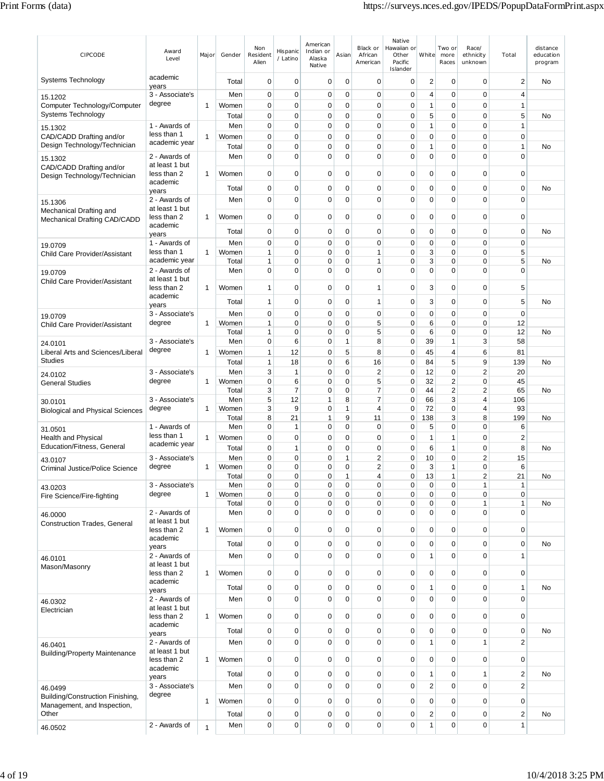| CIPCODE                                                         | Award<br>Level                  | Major        | Gender       | Non<br>Resident<br>Alien | Hispanic<br>/ Latino | American<br>Indian or<br>Alaska<br>Native | Asian            | Black or<br>African<br>American | Native<br>Hawaiian or<br>Other<br>Pacific<br>Islander | White          | Two or<br>more<br>Races | Race/<br>ethnicity<br>unknown | Total                       | distance<br>education<br>program |
|-----------------------------------------------------------------|---------------------------------|--------------|--------------|--------------------------|----------------------|-------------------------------------------|------------------|---------------------------------|-------------------------------------------------------|----------------|-------------------------|-------------------------------|-----------------------------|----------------------------------|
| Systems Technology                                              | academic<br>years               |              | Total        | 0                        | 0                    | 0                                         | $\mathbf 0$      | $\mathbf 0$                     | 0                                                     | 2              | 0                       | 0                             | $\overline{2}$              | No                               |
| 15.1202                                                         | 3 - Associate's                 |              | Men          | 0                        | $\mathbf 0$          | $\mathbf 0$                               | $\mathbf 0$      | $\mathbf 0$                     | $\mathbf 0$                                           | 4              | $\mathbf 0$             | $\mathbf 0$                   | $\overline{4}$              |                                  |
| Computer Technology/Computer                                    | degree                          | $\mathbf{1}$ | Women        | 0                        | $\mathbf 0$          | 0                                         | 0                | $\mathbf 0$                     | $\mathbf 0$                                           | 1              | 0                       | $\mathbf 0$                   | 1                           |                                  |
| Systems Technology                                              |                                 |              | Total        | 0                        | 0                    | 0                                         | $\mathbf 0$      | $\mathbf 0$                     | $\mathbf 0$                                           | 5              | $\mathbf 0$             | $\mathbf 0$                   | 5                           | No                               |
| 15.1302                                                         | 1 - Awards of                   |              | Men          | 0                        | 0                    | 0                                         | 0                | $\mathbf 0$                     | $\mathbf 0$                                           | 1              | 0                       | 0                             | $\mathbf{1}$                |                                  |
| CAD/CADD Drafting and/or                                        | less than 1                     | $\mathbf{1}$ | Women        | 0                        | $\mathbf 0$          | 0                                         | 0                | $\pmb{0}$                       | $\mathbf 0$                                           | 0              | $\mathbf 0$             | $\mathbf 0$                   | $\mathbf 0$                 |                                  |
| Design Technology/Technician                                    | academic year                   |              | Total        | 0                        | 0                    | 0                                         | 0                | $\pmb{0}$                       | $\mathbf 0$                                           | 1              | 0                       | $\mathbf 0$                   | $\mathbf{1}$                | No                               |
| 15.1302<br>CAD/CADD Drafting and/or                             | 2 - Awards of<br>at least 1 but |              | Men          | 0                        | 0                    | 0                                         | 0                | $\mathbf 0$                     | $\mathbf 0$                                           | 0              | 0                       | 0                             | $\mathbf 0$                 |                                  |
| Design Technology/Technician                                    | less than 2<br>academic         | $\mathbf{1}$ | Women        | 0                        | $\mathbf 0$          | 0                                         | 0                | $\pmb{0}$                       | $\mathbf 0$                                           | 0              | $\mathbf 0$             | $\mathbf 0$                   | $\mathbf 0$                 |                                  |
|                                                                 | years                           |              | Total        | 0                        | 0                    | 0                                         | 0                | $\mathbf 0$                     | $\mathbf 0$                                           | 0              | 0                       | $\mathbf 0$                   | $\mathbf 0$                 | No                               |
| 15.1306<br>Mechanical Drafting and                              | 2 - Awards of<br>at least 1 but |              | Men          | 0                        | 0                    | 0                                         | 0                | $\mathbf 0$                     | $\mathbf 0$                                           | 0              | 0                       | 0                             | $\mathbf 0$                 |                                  |
| Mechanical Drafting CAD/CADD                                    | less than 2<br>academic         | 1            | Women        | 0                        | 0                    | 0                                         | 0                | 0                               | 0                                                     | 0              | 0                       | 0                             | 0                           |                                  |
|                                                                 | years                           |              | Total        | 0                        | 0                    | 0                                         | 0                | $\mathbf 0$                     | $\mathbf 0$                                           | 0              | $\mathbf 0$             | 0                             | $\mathbf 0$                 | No                               |
| 19.0709                                                         | 1 - Awards of                   |              | Men          | 0                        | $\mathbf 0$          | $\mathbf 0$                               | 0                | $\pmb{0}$                       | $\mathbf 0$                                           | 0              | $\mathbf 0$             | $\overline{0}$                | $\mathbf 0$                 |                                  |
| Child Care Provider/Assistant                                   | less than 1                     | $\mathbf{1}$ | Women        | 1                        | 0                    | 0                                         | 0                | $\mathbf{1}$                    | $\mathbf 0$                                           | 3              | 0                       | $\mathbf 0$                   | 5                           |                                  |
|                                                                 | academic year                   |              | Total        | 1                        | 0                    | 0                                         | 0                | 1                               | $\mathbf 0$                                           | 3              | 0                       | 0                             | 5                           | No                               |
| 19.0709<br>Child Care Provider/Assistant                        | 2 - Awards of<br>at least 1 but |              | Men          | 0                        | 0                    | 0                                         | 0                | $\mathbf 0$                     | $\mathbf 0$                                           | 0              | 0                       | 0                             | $\mathbf 0$                 |                                  |
|                                                                 | less than 2<br>academic         | 1            | Women        | 1                        | 0                    | 0                                         | 0                | 1                               | 0                                                     | 3              | 0                       | 0                             | 5                           |                                  |
|                                                                 | years                           |              | Total        | 1                        | 0                    | 0                                         | 0                | $\mathbf{1}$                    | $\mathbf 0$                                           | 3              | $\mathbf 0$             | 0                             | 5                           | No                               |
| 19.0709                                                         | 3 - Associate's                 |              | Men          | 0                        | $\mathbf 0$          | $\mathbf 0$                               | 0                | $\pmb{0}$                       | $\mathbf 0$                                           | 0              | $\mathbf 0$             | 0                             | $\mathbf 0$                 |                                  |
| Child Care Provider/Assistant                                   | degree                          | $\mathbf{1}$ | Women        | $\mathbf{1}$             | $\mathbf 0$          | 0                                         | 0                | 5                               | $\mathbf 0$                                           | 6              | 0                       | $\mathbf 0$                   | 12                          |                                  |
|                                                                 |                                 |              | Total        | 1                        | 0                    | 0                                         | 0                | 5                               | $\mathbf 0$                                           | 6              | 0                       | $\mathbf 0$                   | 12                          | No                               |
| 24.0101                                                         | 3 - Associate's                 |              | Men          | 0                        | 6                    | 0                                         | 1                | 8                               | $\mathbf 0$                                           | 39             | 1                       | 3                             | 58                          |                                  |
| Liberal Arts and Sciences/Liberal<br><b>Studies</b>             | degree                          | 1            | Women        | $\mathbf{1}$             | 12                   | 0                                         | 5                | 8                               | $\mathbf 0$                                           | 45             | 4                       | 6                             | 81                          |                                  |
|                                                                 |                                 |              | Total        | 1                        | 18                   | 0                                         | 6                | 16                              | $\mathbf 0$                                           | 84             | 5                       | 9                             | 139                         | No                               |
| 24.0102                                                         | 3 - Associate's<br>degree       | 1            | Men<br>Women | 3<br>0                   | 1<br>6               | 0<br>0                                    | $\mathbf 0$<br>0 | $\mathbf 2$<br>5                | $\mathbf 0$<br>$\mathbf 0$                            | 12<br>32       | 0<br>2                  | $\overline{2}$<br>0           | 20<br>45                    |                                  |
| <b>General Studies</b>                                          |                                 |              | Total        | 3                        | 7                    | 0                                         | $\mathbf 0$      | $\overline{7}$                  | $\mathbf 0$                                           | 44             | $\overline{2}$          | $\overline{2}$                | 65                          | <b>No</b>                        |
| 30.0101                                                         | 3 - Associate's                 |              | Men          | 5                        | 12                   | 1                                         | 8                | $\overline{7}$                  | $\mathbf 0$                                           | 66             | 3                       | $\overline{4}$                | 106                         |                                  |
| <b>Biological and Physical Sciences</b>                         | degree                          | $\mathbf{1}$ | Women        | 3                        | 9                    | 0                                         | 1                | $\overline{4}$                  | $\mathbf 0$                                           | 72             | $\mathbf 0$             | 4                             | 93                          |                                  |
|                                                                 |                                 |              | Total        | 8                        | 21                   | 1                                         | 9                | 11                              | $\mathbf 0$                                           | 138            | 3                       | 8                             | 199                         | No                               |
| 31.0501                                                         | 1 - Awards of<br>less than 1    |              | Men          | 0                        | 1                    | 0                                         | $\mathbf 0$      | 0                               | 0                                                     | 5              | 0                       | 0                             | 6                           |                                  |
| <b>Health and Physical</b><br>Education/Fitness, General        | academic year                   | $\mathbf{1}$ | Women        | 0                        | $\mathbf 0$          | 0                                         | $\mathbf 0$      | $\mathbf 0$                     | $\mathbf 0$                                           | 1              | 1                       | 0                             | $\overline{2}$              |                                  |
|                                                                 | 3 - Associate's                 |              | Total<br>Men | 0<br>0                   | 1<br>0               | 0<br>0                                    | 0<br>1           | $\mathbf 0$<br>2                | $\mathbf 0$<br>0                                      | 6<br>10        | 1<br>0                  | $\mathbf 0$<br>$\overline{2}$ | 8                           | <b>No</b>                        |
| 43.0107<br><b>Criminal Justice/Police Science</b>               | degree                          | 1            | Women        | 0                        | 0                    | 0                                         | 0                | 2                               | $\mathbf 0$                                           | 3              | 1                       | 0                             | 15<br>6                     |                                  |
|                                                                 |                                 |              | Total        | 0                        | $\Omega$             | $\Omega$                                  | 1                | 4                               | $\Omega$                                              | 13             | 1                       | っ                             | 21                          | No                               |
| 43.0203                                                         | 3 - Associate's                 |              | Men          | 0                        | $\mathbf 0$          | 0                                         | $\pmb{0}$        | $\mathbf 0$                     | $\mathbf 0$                                           | 0              | $\pmb{0}$               | 1                             | 1                           |                                  |
| Fire Science/Fire-fighting                                      | degree                          | $\mathbf{1}$ | Women        | 0                        | $\mathbf 0$          | 0                                         | $\pmb{0}$        | $\pmb{0}$                       | $\mathbf 0$                                           | 0              | 0                       | 0                             | $\pmb{0}$                   |                                  |
|                                                                 |                                 |              | Total        | 0                        | 0                    | 0                                         | $\pmb{0}$        | $\pmb{0}$                       | $\pmb{0}$<br>$\mathbf 0$                              | 0<br>0         | $\pmb{0}$               | 1<br>$\mathbf 0$              | $\mathbf{1}$<br>$\mathbf 0$ | No                               |
| 46.0000<br><b>Construction Trades, General</b>                  | 2 - Awards of<br>at least 1 but |              | Men          | 0                        | 0                    | 0                                         | 0                | $\pmb{0}$                       |                                                       |                | $\mathbf 0$             |                               |                             |                                  |
|                                                                 | less than 2<br>academic         | $\mathbf{1}$ | Women        | $\pmb{0}$                | $\mathbf 0$          | 0                                         | $\pmb{0}$        | $\pmb{0}$                       | $\mathbf 0$                                           | 0              | $\mathbf 0$             | 0                             | $\mathbf 0$                 |                                  |
|                                                                 | years                           |              | Total        | 0                        | 0                    | 0                                         | 0                | $\pmb{0}$                       | $\pmb{0}$                                             | 0              | $\mathbf 0$             | 0                             | $\pmb{0}$                   | No                               |
| 46.0101                                                         | 2 - Awards of<br>at least 1 but |              | Men          | $\pmb{0}$                | $\mathbf 0$          | 0                                         | $\mathbf 0$      | $\pmb{0}$                       | $\pmb{0}$                                             | $\mathbf{1}$   | $\mathbf 0$             | 0                             | $\mathbf{1}$                |                                  |
| Mason/Masonry                                                   | less than 2                     | $\mathbf{1}$ | Women        | 0                        | $\mathbf 0$          | 0                                         | 0                | $\pmb{0}$                       | $\pmb{0}$                                             | 0              | $\mathbf 0$             | 0                             | $\mathbf 0$                 |                                  |
|                                                                 | academic<br>years               |              | Total        | 0                        | $\mathbf 0$          | $\mathbf 0$                               | $\mathbf 0$      | $\pmb{0}$                       | $\pmb{0}$                                             | 1              | $\mathbf 0$             | 0                             | $\mathbf{1}$                | No                               |
| 46.0302                                                         | 2 - Awards of<br>at least 1 but |              | Men          | 0                        | $\mathbf 0$          | 0                                         | $\mathbf 0$      | $\mathbf 0$                     | $\mathbf 0$                                           | $\mathbf 0$    | 0                       | 0                             | $\mathbf 0$                 |                                  |
| Electrician                                                     | less than 2                     | 1            | Women        | 0                        | $\mathbf 0$          | 0                                         | 0                | $\pmb{0}$                       | $\mathbf 0$                                           | 0              | $\mathbf 0$             | 0                             | 0                           |                                  |
|                                                                 | academic<br>years               |              | Total        | $\pmb{0}$                | $\mathbf 0$          | 0                                         | $\pmb{0}$        | $\pmb{0}$                       | $\mathbf 0$                                           | 0              | $\mathbf 0$             | 0                             | $\mathbf 0$                 | No                               |
| 46.0401                                                         | 2 - Awards of                   |              | Men          | $\mathbf 0$              | $\mathbf 0$          | 0                                         | 0                | $\pmb{0}$                       | $\pmb{0}$                                             | 1              | $\mathbf 0$             | $\mathbf{1}$                  | $\overline{2}$              |                                  |
| <b>Building/Property Maintenance</b>                            | at least 1 but<br>less than 2   | $\mathbf{1}$ | Women        | $\pmb{0}$                | $\mathbf 0$          | 0                                         | $\pmb{0}$        | $\pmb{0}$                       | $\mathbf 0$                                           | 0              | $\mathbf 0$             | 0                             | $\mathbf 0$                 |                                  |
|                                                                 | academic<br>years               |              | Total        | 0                        | 0                    | 0                                         | 0                | $\pmb{0}$                       | $\pmb{0}$                                             | 1              | $\mathbf 0$             | $\mathbf{1}$                  | $\overline{2}$              | No                               |
| 46.0499                                                         | 3 - Associate's                 |              | Men          | $\pmb{0}$                | $\mathbf 0$          | 0                                         | $\mathbf 0$      | $\pmb{0}$                       | $\pmb{0}$                                             | $\overline{2}$ | $\mathbf 0$             | 0                             | $\overline{2}$              |                                  |
| Building/Construction Finishing,<br>Management, and Inspection, | degree                          | $\mathbf{1}$ | Women        | 0                        | $\mathbf 0$          | $\mathbf 0$                               | $\pmb{0}$        | $\mathbf 0$                     | $\mathbf 0$                                           | $\mathbf 0$    | $\mathbf 0$             | 0                             | $\mathbf 0$                 |                                  |
| Other                                                           |                                 |              | Total        | 0                        | $\mathbf 0$          | 0                                         | $\pmb{0}$        | $\mathbf 0$                     | $\mathbf 0$                                           | 2              | $\mathbf 0$             | 0                             | $\overline{2}$              | No                               |
| 46.0502                                                         | 2 - Awards of                   | $\mathbf{1}$ | Men          | 0                        | $\mathbf 0$          | 0                                         | 0                | $\pmb{0}$                       | $\pmb{0}$                                             | 1              | $\mathbf 0$             | $\mathbf 0$                   | $\mathbf{1}$                |                                  |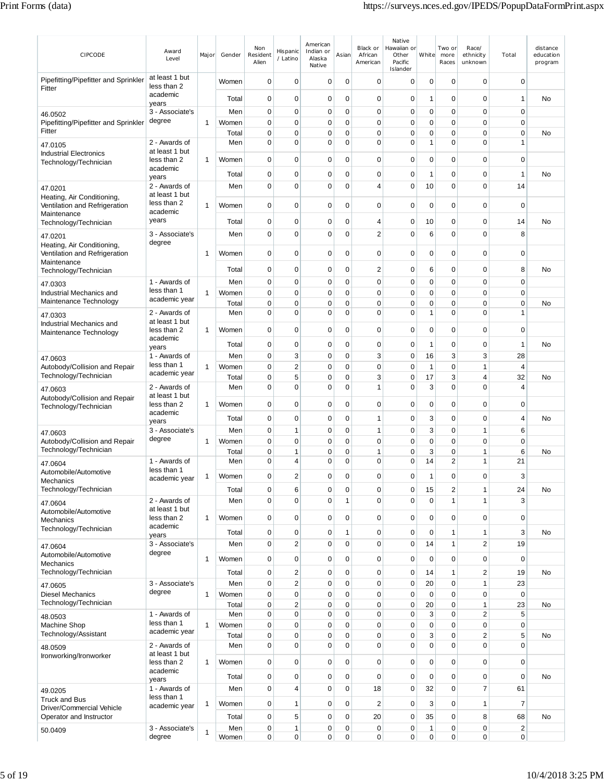| CIPCODE                                                                    | Award<br>Level                           | Major        | Gender       | Non<br>Resident<br>Alien | Hispanic<br>/ Latino          | American<br>Indian or<br>Alaska<br>Native | Asian                      | Black or<br>African<br>American | Native<br>Hawaiian or<br>Other<br>Pacific<br>Islander | White             | Two or<br>more<br>Races    | Race/<br>ethnicity<br>unknown | Total                         | distance<br>education<br>program |
|----------------------------------------------------------------------------|------------------------------------------|--------------|--------------|--------------------------|-------------------------------|-------------------------------------------|----------------------------|---------------------------------|-------------------------------------------------------|-------------------|----------------------------|-------------------------------|-------------------------------|----------------------------------|
| Pipefitting/Pipefitter and Sprinkler<br>Fitter                             | at least 1 but<br>less than 2            |              | Women        | 0                        | 0                             | 0                                         | 0                          | 0                               | 0                                                     | 0                 | 0                          | 0                             | 0                             |                                  |
|                                                                            | academic<br>years                        |              | Total        | $\mathbf 0$              | 0                             | 0                                         | $\mathbf 0$                | $\mathbf 0$                     | 0                                                     | 1                 | 0                          | $\mathbf 0$                   | $\mathbf{1}$                  | No                               |
| 46.0502                                                                    | 3 - Associate's                          |              | Men          | 0                        | 0                             | 0                                         | $\mathbf 0$                | $\mathbf 0$                     | 0                                                     | 0                 | 0                          | $\mathbf 0$                   | 0                             |                                  |
| Pipefitting/Pipefitter and Sprinkler                                       | degree                                   | 1            | Women        | 0                        | $\mathbf 0$                   | 0                                         | $\mathbf 0$                | $\mathbf 0$                     | 0                                                     | 0                 | $\mathbf 0$                | $\mathbf 0$                   | $\mathbf 0$                   |                                  |
| Fitter                                                                     |                                          |              | Total        | $\mathbf 0$              | $\mathbf 0$                   | 0                                         | 0                          | $\mathbf 0$                     | 0                                                     | 0                 | $\mathbf 0$                | $\mathbf 0$                   | $\mathbf 0$                   | No                               |
| 47.0105                                                                    | 2 - Awards of<br>at least 1 but          |              | Men          | $\mathbf 0$              | $\mathbf 0$                   | 0                                         | 0                          | $\mathbf 0$                     | 0                                                     | 1                 | $\mathbf 0$                | $\mathbf 0$                   | $\overline{1}$                |                                  |
| <b>Industrial Electronics</b><br>Technology/Technician                     | less than 2                              | 1            | Women        | $\pmb{0}$                | $\mathbf 0$                   | 0                                         | $\mathbf 0$                | $\mathbf 0$                     | 0                                                     | $\mathbf 0$       | $\mathbf 0$                | $\mathbf 0$                   | $\mathbf 0$                   |                                  |
|                                                                            | academic                                 |              | Total        | $\mathbf 0$              | 0                             | 0                                         | 0                          | $\mathbf 0$                     | 0                                                     | 1                 | 0                          | $\mathbf 0$                   | $\mathbf{1}$                  | No                               |
| 47.0201                                                                    | years<br>2 - Awards of<br>at least 1 but |              | Men          | $\mathbf 0$              | $\mathbf 0$                   | $\mathbf 0$                               | 0                          | $\overline{4}$                  | 0                                                     | 10                | $\mathbf 0$                | $\mathbf 0$                   | 14                            |                                  |
| Heating, Air Conditioning,<br>Ventilation and Refrigeration<br>Maintenance | less than 2<br>academic                  | $\mathbf 1$  | Women        | $\mathbf 0$              | 0                             | 0                                         | 0                          | $\mathbf 0$                     | 0                                                     | 0                 | 0                          | $\mathbf 0$                   | $\mathbf 0$                   |                                  |
| Technology/Technician                                                      | years                                    |              | Total        | 0                        | 0                             | 0                                         | 0                          | $\overline{4}$                  | 0                                                     | 10                | 0                          | $\mathbf 0$                   | 14                            | No                               |
| 47.0201                                                                    | 3 - Associate's                          |              | Men          | 0                        | 0                             | 0                                         | 0                          | $\overline{2}$                  | 0                                                     | 6                 | $\mathbf 0$                | $\mathbf 0$                   | 8                             |                                  |
| Heating, Air Conditioning,                                                 | degree                                   |              |              |                          |                               |                                           |                            |                                 |                                                       |                   |                            |                               |                               |                                  |
| Ventilation and Refrigeration<br>Maintenance                               |                                          | -1           | Women        | 0                        | 0                             | 0                                         | 0                          | 0                               | 0                                                     | 0                 | 0                          | 0                             | 0                             |                                  |
| Technology/Technician                                                      |                                          |              | Total        | $\mathbf 0$              | 0                             | 0                                         | 0                          | $\overline{2}$                  | 0                                                     | 6                 | 0                          | 0                             | 8                             | No                               |
| 47.0303                                                                    | 1 - Awards of                            |              | Men          | 0                        | 0                             | 0                                         | $\mathbf 0$                | $\pmb{0}$                       | 0                                                     | 0                 | 0                          | $\mathbf 0$                   | $\mathbf 0$                   |                                  |
| Industrial Mechanics and                                                   | less than 1<br>academic year             | 1            | Women        | $\pmb{0}$                | 0                             | 0                                         | 0                          | $\mathbf 0$                     | 0                                                     | 0                 | 0                          | $\mathbf 0$                   | $\mathbf 0$                   |                                  |
| Maintenance Technology                                                     | 2 - Awards of                            |              | Total        | 0<br>$\mathbf 0$         | 0<br>$\mathbf 0$              | 0<br>0                                    | 0<br>0                     | $\mathbf 0$<br>$\mathbf 0$      | 0<br>0                                                | 0<br>1            | 0<br>$\mathbf 0$           | $\mathbf 0$<br>$\mathbf 0$    | $\mathbf 0$<br>$\overline{1}$ | No                               |
| 47.0303<br>Industrial Mechanics and                                        | at least 1 but                           |              | Men          |                          |                               |                                           |                            |                                 |                                                       |                   |                            |                               |                               |                                  |
| Maintenance Technology                                                     | less than 2                              | $\mathbf 1$  | Women        | $\pmb{0}$                | $\mathbf 0$                   | 0                                         | $\mathbf 0$                | $\mathbf 0$                     | 0                                                     | 0                 | 0                          | $\mathbf 0$                   | $\mathbf 0$                   |                                  |
|                                                                            | academic<br>years                        |              | Total        | $\mathbf 0$              | 0                             | 0                                         | $\mathbf 0$                | $\pmb{0}$                       | 0                                                     | 1                 | 0                          | $\mathbf 0$                   | $\overline{1}$                | No                               |
| 47.0603                                                                    | 1 - Awards of                            |              | Men          | $\mathbf 0$              | 3                             | 0                                         | $\mathbf 0$                | 3                               | 0                                                     | 16                | 3                          | 3                             | 28                            |                                  |
| Autobody/Collision and Repair                                              | less than 1                              | 1            | Women        | $\mathbf 0$              | $\overline{2}$                | 0                                         | $\mathbf 0$                | $\mathbf 0$                     | $\mathbf 0$                                           | 1                 | $\mathbf 0$                | 1                             | $\overline{4}$                |                                  |
| Technology/Technician                                                      | academic year                            |              | Total        | $\pmb{0}$                | 5                             | 0                                         | $\mathbf 0$                | 3                               | 0                                                     | 17                | 3                          | 4                             | 32                            | No                               |
| 47.0603                                                                    | 2 - Awards of<br>at least 1 but          |              | Men          | $\mathbf 0$              | $\overline{0}$                | $\mathbf 0$                               | 0                          | $\mathbf{1}$                    | 0                                                     | 3                 | $\mathbf 0$                | $\mathbf 0$                   | $\overline{4}$                |                                  |
| Autobody/Collision and Repair<br>Technology/Technician                     | less than 2                              | 1            | Women        | $\mathbf 0$              | 0                             | 0                                         | 0                          | $\mathbf 0$                     | 0                                                     | 0                 | 0                          | 0                             | 0                             |                                  |
|                                                                            | academic                                 |              | Total        | $\pmb{0}$                | 0                             | 0                                         | $\mathbf 0$                | $\mathbf{1}$                    | 0                                                     | 3                 | 0                          | $\mathbf 0$                   | 4                             | No                               |
| 47.0603                                                                    | years<br>3 - Associate's                 |              | Men          | $\pmb{0}$                | $\mathbf{1}$                  | 0                                         | $\mathbf 0$                | $\mathbf{1}$                    | 0                                                     | 3                 | 0                          | $\mathbf{1}$                  | 6                             |                                  |
| Autobody/Collision and Repair                                              | degree                                   | $\mathbf 1$  | Women        | $\mathbf 0$              | 0                             | 0                                         | 0                          | $\mathbf 0$                     | 0                                                     | 0                 | 0                          | 0                             | 0                             |                                  |
| Technology/Technician                                                      |                                          |              | Total        | $\mathbf 0$              | $\mathbf{1}$                  | 0                                         | 0                          | $\mathbf{1}$                    | $\mathbf 0$                                           | 3                 | $\mathbf 0$                | 1                             | 6                             | No                               |
| 47.0604                                                                    | 1 - Awards of<br>less than 1             |              | Men          | $\mathbf 0$              | 4                             | 0                                         | 0                          | $\mathbf 0$                     | 0                                                     | 14                | $\overline{2}$             | 1                             | 21                            |                                  |
| Automobile/Automotive<br>Mechanics                                         | academic year                            | 1            | Women        | $\pmb{0}$                | $\overline{\mathbf{c}}$       | 0                                         | 0                          | $\pmb{0}$                       | 0                                                     | 1                 | 0                          | $\pmb{0}$                     | 3                             |                                  |
| Technology/Technician                                                      |                                          |              | Total        | 0                        | 6                             | 0                                         | $\mathbf 0$                | $\mathbf 0$                     | 0                                                     | 15                | $\overline{c}$             | $\mathbf{1}$                  | 24                            | No                               |
| 47.0604                                                                    | 2 - Awards of                            |              | Men          | $\mathbf 0$              | $\mathbf 0$                   | $\mathbf 0$                               | $\mathbf{1}$               | $\mathbf 0$                     | $\mathbf 0$                                           | $\mathbf 0$       | 1                          | $\mathbf{1}$                  | 3                             |                                  |
| Automobile/Automotive                                                      | at least 1 but<br>less than 2            | 1            | Women        | $\mathbf 0$              | $\mathbf 0$                   | 0                                         | $\mathbf 0$                | $\pmb{0}$                       | 0                                                     | 0                 | $\mathbf 0$                | $\mathbf 0$                   | $\mathbf 0$                   |                                  |
| Mechanics<br>Technology/Technician                                         | academic                                 |              |              |                          |                               |                                           |                            |                                 |                                                       |                   |                            |                               |                               |                                  |
|                                                                            | years                                    |              | Total        | $\pmb{0}$                | $\mathbf 0$                   | 0                                         | $\mathbf{1}$               | $\mathbf 0$                     | 0                                                     | $\mathbf 0$       | 1                          | 1                             | 3                             | No                               |
| 47.0604<br>Automobile/Automotive                                           | 3 - Associate's<br>degree                |              | Men          | $\mathbf 0$              | $\overline{2}$                | 0                                         | $\mathbf 0$                | $\mathbf 0$                     | 0                                                     | 14                | 1                          | $\overline{\mathbf{c}}$       | 19                            |                                  |
| <b>Mechanics</b>                                                           |                                          | 1            | Women        | $\pmb{0}$                | $\mathbf 0$                   | 0                                         | $\mathbf 0$                | $\pmb{0}$                       | $\mathbf 0$                                           | $\mathbf 0$       | 0                          | $\mathbf 0$                   | $\mathbf 0$                   |                                  |
| Technology/Technician                                                      |                                          |              | Total        | $\pmb{0}$                | $\overline{2}$                | $\mathbf 0$                               | $\mathbf 0$                | $\pmb{0}$                       | 0                                                     | 14                | 1                          | $\overline{2}$                | 19                            | No                               |
| 47.0605                                                                    | 3 - Associate's<br>degree                |              | Men          | $\pmb{0}$                | $\overline{c}$                | 0                                         | $\mathbf 0$                | $\pmb{0}$                       | 0                                                     | 20                | $\mathbf 0$                | $\mathbf{1}$                  | 23                            |                                  |
| <b>Diesel Mechanics</b><br>Technology/Technician                           |                                          | $\mathbf{1}$ | Women        | $\pmb{0}$<br>0           | $\mathbf 0$<br>$\overline{2}$ | 0<br>0                                    | $\mathbf 0$<br>$\mathbf 0$ | $\mathbf 0$<br>$\mathbf 0$      | 0<br>0                                                | $\mathbf 0$<br>20 | $\mathbf 0$<br>$\mathbf 0$ | $\mathbf 0$<br>$\mathbf{1}$   | $\mathbf 0$                   | No                               |
| 48.0503                                                                    | 1 - Awards of                            |              | Total<br>Men | $\pmb{0}$                | $\mathbf 0$                   | $\mathbf 0$                               | $\mathbf 0$                | $\mathbf 0$                     | 0                                                     | 3                 | $\mathbf 0$                | $\overline{2}$                | 23<br>5                       |                                  |
| Machine Shop                                                               | less than 1                              | 1            | Women        | $\pmb{0}$                | $\mathbf 0$                   | $\mathbf 0$                               | $\mathbf 0$                | $\mathbf 0$                     | 0                                                     | 0                 | $\mathbf 0$                | $\mathbf 0$                   | $\mathbf 0$                   |                                  |
| Technology/Assistant                                                       | academic year                            |              | Total        | $\pmb{0}$                | $\mathbf 0$                   | 0                                         | $\mathbf 0$                | $\pmb{0}$                       | 0                                                     | 3                 | $\mathbf 0$                | $\overline{c}$                | 5                             | No                               |
| 48.0509                                                                    | 2 - Awards of                            |              | Men          | 0                        | $\mathbf 0$                   | 0                                         | 0                          | $\mathbf 0$                     | 0                                                     | $\mathbf 0$       | 0                          | $\mathbf 0$                   | $\mathbf 0$                   |                                  |
| Ironworking/Ironworker                                                     | at least 1 but<br>less than 2            | $\mathbf{1}$ | Women        | $\pmb{0}$                | $\mathbf 0$                   | 0                                         | $\mathbf 0$                | $\mathbf 0$                     | 0                                                     | 0                 | $\mathbf 0$                | $\mathbf 0$                   | $\mathbf 0$                   |                                  |
|                                                                            | academic<br>years                        |              | Total        | 0                        | 0                             | 0                                         | $\mathbf 0$                | $\mathbf 0$                     | 0                                                     | 0                 | 0                          | 0                             | $\mathbf 0$                   | No                               |
| 49.0205                                                                    | 1 - Awards of                            |              | Men          | $\mathbf 0$              | $\overline{4}$                | $\mathbf 0$                               | $\mathbf 0$                | 18                              | 0                                                     | 32                | $\mathbf 0$                | $\overline{7}$                | 61                            |                                  |
| <b>Truck and Bus</b>                                                       | less than 1<br>academic year             | 1            | Women        | 0                        | 1                             | $\mathbf 0$                               | $\mathbf 0$                | $\overline{2}$                  | $\mathbf 0$                                           | 3                 | 0                          | $\mathbf{1}$                  | $\overline{7}$                |                                  |
| Driver/Commercial Vehicle<br>Operator and Instructor                       |                                          |              | Total        | 0                        | 5                             | 0                                         | 0                          | 20                              | $\mathbf 0$                                           | 35                | $\mathbf 0$                | 8                             | 68                            | No                               |
| 50.0409                                                                    | 3 - Associate's                          |              | Men          | 0                        | 1                             | 0                                         | $\pmb{0}$                  | $\pmb{0}$                       | 0                                                     | $\mathbf{1}$      | $\mathbf 0$                | $\mathbf 0$                   | $\sqrt{2}$                    |                                  |
|                                                                            | degree                                   | $\mathbf{1}$ | Women        | 0                        | 0                             | 0                                         | 0                          | 0                               | 0                                                     | 0                 | 0                          | $\mathbf 0$                   | 0                             |                                  |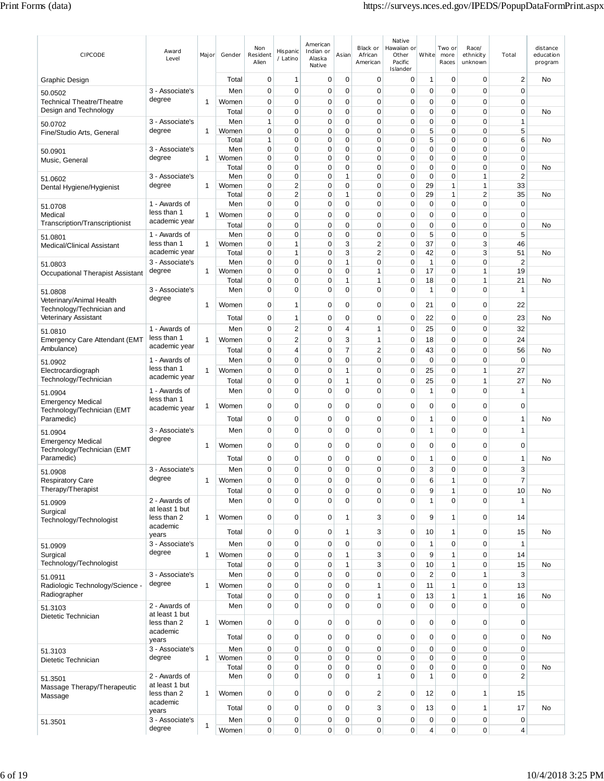| CIPCODE                                                   | Award<br>Level                  | Major        | Gender         | Non<br>Resident<br>Alien    | Hispanic<br>/ Latino | American<br>Indian or<br>Alaska<br>Native | Asian             | Black or<br>African<br>American | Native<br>Hawaiian or<br>Other<br>Pacific<br>Islander | White                | Two or<br>more<br>Races     | Race/<br>ethnicity<br>unknown | Total                       | distance<br>education<br>program |
|-----------------------------------------------------------|---------------------------------|--------------|----------------|-----------------------------|----------------------|-------------------------------------------|-------------------|---------------------------------|-------------------------------------------------------|----------------------|-----------------------------|-------------------------------|-----------------------------|----------------------------------|
| Graphic Design                                            |                                 |              | Total          | 0                           | 1                    | 0                                         | 0                 | $\mathbf 0$                     | $\mathbf 0$                                           | $\mathbf{1}$         | $\mathbf 0$                 | 0                             | $\overline{2}$              | No                               |
| 50.0502                                                   | 3 - Associate's<br>degree       |              | Men            | $\mathbf 0$                 | $\mathbf 0$          | 0                                         | 0                 | $\mathbf 0$                     | 0                                                     | 0                    | 0                           | 0                             | $\mathbf 0$                 |                                  |
| <b>Technical Theatre/Theatre</b><br>Design and Technology |                                 | $\mathbf{1}$ | Women<br>Total | $\mathbf 0$<br>0            | $\mathbf 0$<br>0     | 0<br>0                                    | 0<br>0            | $\mathbf 0$<br>$\mathbf 0$      | $\mathbf 0$<br>$\mathbf 0$                            | 0<br>0               | 0<br>$\mathbf 0$            | $\mathbf 0$<br>$\mathbf 0$    | $\mathbf 0$<br>$\mathbf 0$  | No                               |
| 50.0702                                                   | 3 - Associate's                 |              | Men            | 1                           | 0                    | 0                                         | 0                 | $\mathbf 0$                     | $\mathbf 0$                                           | $\mathbf 0$          | $\mathbf 0$                 | $\mathbf 0$                   | $\mathbf{1}$                |                                  |
| Fine/Studio Arts, General                                 | degree                          | $\mathbf{1}$ | Women          | 0                           | 0                    | 0                                         | 0                 | $\mathbf 0$                     | $\mathbf 0$                                           | 5                    | 0                           | 0                             | 5                           |                                  |
| 50.0901                                                   | 3 - Associate's                 |              | Total<br>Men   | $\mathbf{1}$<br>$\mathbf 0$ | 0<br>0               | 0<br>0                                    | 0<br>0            | $\mathbf 0$<br>$\mathbf 0$      | $\mathbf 0$<br>$\mathbf 0$                            | 5<br>0               | 0<br>0                      | 0<br>0                        | 6<br>$\mathbf 0$            | No                               |
| Music, General                                            | degree                          | 1            | Women          | $\mathbf 0$                 | 0                    | 0                                         | 0                 | $\mathbf 0$                     | $\mathbf 0$                                           | 0                    | 0                           | $\Omega$                      | $\mathbf 0$                 |                                  |
|                                                           | 3 - Associate's                 |              | Total<br>Men   | 0<br>0                      | 0<br>0               | 0<br>0                                    | 0<br>1            | 0<br>0                          | 0<br>0                                                | $\mathbf 0$<br>0     | 0<br>0                      | $\Omega$<br>1                 | 0<br>$\overline{2}$         | No                               |
| 51.0602<br>Dental Hygiene/Hygienist                       | degree                          | $\mathbf{1}$ | Women          | 0                           | $\overline{2}$       | 0                                         | 0                 | $\mathbf 0$                     | $\mathbf 0$                                           | 29                   | 1                           | $\mathbf{1}$                  | 33                          |                                  |
|                                                           | 1 - Awards of                   |              | Total          | 0<br>0                      | $\overline{2}$<br>0  | 0<br>0                                    | 1<br>0            | $\mathbf 0$<br>$\mathbf 0$      | $\pmb{0}$<br>$\mathbf 0$                              | 29<br>$\mathbf 0$    | $\mathbf{1}$<br>$\mathbf 0$ | $\overline{2}$<br>0           | 35<br>$\mathbf 0$           | No                               |
| 51.0708<br>Medical                                        | less than 1                     | 1            | Men<br>Women   | 0                           | 0                    | 0                                         | 0                 | $\mathbf 0$                     | 0                                                     | 0                    | 0                           | 0                             | 0                           |                                  |
| Transcription/Transcriptionist                            | academic year                   |              | Total          | 0                           | 0                    | 0                                         | 0                 | $\mathbf 0$                     | $\mathbf 0$                                           | 0                    | $\mathbf 0$                 | 0                             | $\mathbf 0$                 | No                               |
| 51.0801                                                   | 1 - Awards of                   |              | Men            | $\mathbf 0$                 | 0                    | 0                                         | 0                 | $\mathbf 0$                     | $\mathbf 0$                                           | 5                    | 0                           | $\mathbf 0$                   | 5                           |                                  |
| Medical/Clinical Assistant                                | less than 1<br>academic year    | $\mathbf{1}$ | Women<br>Total | $\mathbf 0$<br>$\mathbf 0$  | 1<br>1               | 0<br>0                                    | 3<br>3            | 2<br>2                          | $\mathbf 0$<br>$\mathbf 0$                            | 37<br>42             | 0<br>0                      | 3<br>3                        | 46<br>51                    | No                               |
| 51.0803                                                   | 3 - Associate's                 |              | Men            | $\mathbf 0$                 | 0                    | 0                                         | 1                 | 0                               | $\mathbf 0$                                           | $\mathbf{1}$         | 0                           | $\Omega$                      | $\overline{2}$              |                                  |
| Occupational Therapist Assistant                          | degree                          | 1            | Women          | 0                           | 0                    | 0                                         | 0                 | $\mathbf{1}$                    | $\mathbf 0$                                           | 17                   | 0                           | 1<br>1                        | 19                          |                                  |
| 51.0808                                                   | 3 - Associate's                 |              | Total<br>Men   | 0<br>$\mathbf 0$            | 0<br>0               | 0<br>0                                    | 1<br>0            | $\mathbf{1}$<br>$\mathbf 0$     | $\mathbf 0$<br>$\mathbf 0$                            | 18<br>$\mathbf{1}$   | 0<br>$\mathbf 0$            | 0                             | 21<br>$\mathbf{1}$          | No                               |
| Veterinary/Animal Health                                  | degree                          | 1            | Women          | 0                           | 1                    | 0                                         | 0                 | 0                               | 0                                                     | 21                   | $\mathbf 0$                 | 0                             | 22                          |                                  |
| Technology/Technician and<br>Veterinary Assistant         |                                 |              | Total          | $\mathbf 0$                 | 1                    | 0                                         | $\mathbf 0$       | $\mathbf 0$                     | $\mathbf 0$                                           | 22                   | $\mathbf 0$                 | $\mathbf 0$                   | 23                          | No                               |
|                                                           | 1 - Awards of                   |              | Men            | 0                           | $\overline{2}$       | 0                                         | 4                 | $\mathbf{1}$                    | $\mathbf 0$                                           | 25                   | 0                           | 0                             | 32                          |                                  |
| 51.0810<br><b>Emergency Care Attendant (EMT</b>           | less than 1                     | $\mathbf{1}$ | Women          | $\mathbf 0$                 | $\overline{2}$       | 0                                         | 3                 | $\mathbf{1}$                    | $\mathbf 0$                                           | 18                   | $\mathbf 0$                 | $\mathbf 0$                   | 24                          |                                  |
| Ambulance)                                                | academic year                   |              | Total          | $\mathbf 0$                 | 4                    | 0                                         | 7                 | $\overline{2}$                  | $\mathbf 0$                                           | 43                   | 0                           | $\mathbf 0$                   | 56                          | No                               |
| 51.0902                                                   | 1 - Awards of<br>less than 1    |              | Men            | 0                           | 0                    | 0                                         | 0                 | $\mathbf 0$                     | $\mathbf 0$                                           | 0                    | $\mathbf 0$                 | 0                             | $\mathbf 0$                 |                                  |
| Electrocardiograph<br>Technology/Technician               | academic year                   | $\mathbf{1}$ | Women<br>Total | $\mathbf 0$<br>0            | 0<br>0               | 0<br>0                                    | $\mathbf{1}$<br>1 | $\mathbf 0$<br>$\mathbf 0$      | $\mathbf 0$<br>$\mathbf 0$                            | 25<br>25             | $\mathbf 0$<br>0            | 1<br>1                        | 27<br>27                    | No                               |
| 51.0904                                                   | 1 - Awards of                   |              | Men            | $\mathbf 0$                 | 0                    | 0                                         | 0                 | $\mathbf 0$                     | $\mathbf 0$                                           | $\mathbf{1}$         | $\mathbf 0$                 | $\mathbf 0$                   | $\mathbf{1}$                |                                  |
| <b>Emergency Medical</b>                                  | less than 1                     | 1            | Women          | 0                           | 0                    | 0                                         | 0                 | 0                               | 0                                                     | $\mathbf 0$          | 0                           | 0                             | 0                           |                                  |
| Technology/Technician (EMT<br>Paramedic)                  | academic year                   |              | Total          | 0                           | 0                    | 0                                         | 0                 | $\mathbf 0$                     | 0                                                     | 1                    | 0                           | $\mathbf 0$                   | 1                           | No                               |
| 51.0904                                                   | 3 - Associate's                 |              | Men            | $\mathbf 0$                 | 0                    | 0                                         | 0                 | $\mathbf 0$                     | $\mathbf 0$                                           | 1                    | $\mathbf 0$                 | $\mathbf 0$                   | $\mathbf{1}$                |                                  |
| <b>Emergency Medical</b>                                  | degree                          | 1            | Women          | $\mathbf 0$                 | 0                    | 0                                         | 0                 | $\mathbf 0$                     | $\mathbf 0$                                           | $\mathbf 0$          | $\mathbf 0$                 | $\mathbf 0$                   | $\mathbf 0$                 |                                  |
| Technology/Technician (EMT<br>Paramedic)                  |                                 |              |                | 0                           | 0                    | 0                                         | 0                 | 0                               | 0                                                     | 1                    | 0                           | 0                             |                             | No                               |
|                                                           | 3 - Associate's                 |              | Total<br>Men   | $\mathbf 0$                 | 0                    | $\mathbf 0$                               | 0                 | $\mathbf 0$                     | $\mathbf 0$                                           | 3                    | 0                           | 0                             | 1<br>3                      |                                  |
| 51.0908<br><b>Respiratory Care</b>                        | aegree                          | 1            | Women          | 0                           | 0                    | 0                                         | 0                 | $\pmb{0}$                       | 0                                                     | 6                    | 1                           | 0                             | $\overline{7}$              |                                  |
| Therapy/Therapist                                         |                                 |              | Total          | $\mathbf 0$                 | 0                    | $\mathbf 0$                               | $\mathbf 0$       | $\mathbf 0$                     | $\mathbf 0$                                           | 9                    | $\mathbf{1}$                | 0                             | 10                          | No                               |
| 51.0909                                                   | 2 - Awards of<br>at least 1 but |              | Men            | $\mathbf 0$                 | 0                    | $\mathbf 0$                               | $\overline{0}$    | $\mathbf 0$                     | $\mathbf 0$                                           | 1                    | $\overline{0}$              | 0                             | $\mathbf{1}$                |                                  |
| Surgical<br>Technology/Technologist                       | less than 2                     | $\mathbf{1}$ | Women          | $\mathbf 0$                 | $\mathbf 0$          | 0                                         | 1                 | $\sqrt{3}$                      | $\pmb{0}$                                             | 9                    | 1                           | 0                             | 14                          |                                  |
|                                                           | academic<br>years               |              | Total          | $\mathbf 0$                 | $\mathbf 0$          | 0                                         | 1                 | 3                               | $\pmb{0}$                                             | 10                   | $\mathbf{1}$                | 0                             | 15                          | <b>No</b>                        |
| 51.0909                                                   | 3 - Associate's                 |              | Men            | $\mathbf 0$                 | $\pmb{0}$            | $\mathbf 0$                               | $\mathbf 0$       | $\mathbf 0$                     | $\pmb{0}$                                             | $\mathbf{1}$         | $\mathbf 0$                 | 0                             | $\mathbf{1}$                |                                  |
| Surgical                                                  | degree                          | $\mathbf{1}$ | Women          | $\mathbf 0$                 | 0                    | $\mathbf 0$                               | $\mathbf{1}$      | 3                               | $\pmb{0}$                                             | 9                    | $\mathbf{1}$                | $\overline{0}$                | 14                          |                                  |
| Technology/Technologist                                   | 3 - Associate's                 |              | Total          | $\mathbf 0$                 | 0                    | 0                                         | 1                 | 3                               | $\mathbf 0$                                           | 10                   | 1                           | 0                             | 15                          | No                               |
| 51.0911<br>Radiologic Technology/Science -                | degree                          | $\mathbf{1}$ | Men<br>Women   | $\mathbf 0$<br>$\mathbf 0$  | 0<br>$\pmb{0}$       | 0<br>$\mathbf 0$                          | 0<br>0            | $\mathbf 0$<br>$\mathbf{1}$     | $\mathbf 0$<br>$\pmb{0}$                              | $\overline{2}$<br>11 | $\mathbf 0$<br>1            | 1<br>0                        | 3<br>13                     |                                  |
| Radiographer                                              |                                 |              | Total          | $\mathbf 0$                 | 0                    | 0                                         | 0                 | $\mathbf{1}$                    | $\pmb{0}$                                             | 13                   | $\mathbf{1}$                | $\mathbf{1}$                  | 16                          | No                               |
| 51.3103                                                   | 2 - Awards of                   |              | Men            | $\mathbf 0$                 | 0                    | 0                                         | 0                 | $\mathbf 0$                     | $\mathbf 0$                                           | $\mathbf 0$          | $\mathbf 0$                 | 0                             | $\mathbf 0$                 |                                  |
| Dietetic Technician                                       | at least 1 but<br>less than 2   | 1            | Women          | $\mathbf 0$                 | 0                    | $\mathbf 0$                               | 0                 | $\mathbf 0$                     | $\pmb{0}$                                             | $\mathbf 0$          | $\mathbf 0$                 | 0                             | $\pmb{0}$                   |                                  |
|                                                           | academic                        |              | Total          | $\mathbf 0$                 | 0                    | 0                                         | $\mathbf 0$       | $\mathbf 0$                     | $\mathbf 0$                                           | $\mathbf 0$          | $\mathbf 0$                 | 0                             | $\pmb{0}$                   | <b>No</b>                        |
|                                                           | years<br>3 - Associate's        |              | Men            | $\mathbf 0$                 | 0                    | 0                                         | 0                 | $\mathbf 0$                     | $\mathbf 0$                                           | $\mathbf 0$          | $\mathbf 0$                 | 0                             | $\mathbf 0$                 |                                  |
| 51.3103<br>Dietetic Technician                            | degree                          | 1            | Women          | $\mathbf 0$                 | 0                    | 0                                         | 0                 | $\mathbf 0$                     | $\mathbf 0$                                           | $\mathbf 0$          | 0                           | 0                             | $\mathbf 0$                 |                                  |
|                                                           | 2 - Awards of                   |              | Total<br>Men   | 0<br>$\mathbf 0$            | 0<br>$\Omega$        | 0<br>0                                    | 0<br>$\mathbf 0$  | $\pmb{0}$<br>1                  | $\mathbf 0$<br>$\mathbf 0$                            | 0<br>1               | 0<br>0                      | $\mathbf 0$<br>0              | $\pmb{0}$<br>$\overline{2}$ | No                               |
| 51.3501<br>Massage Therapy/Therapeutic                    | at least 1 but                  |              |                |                             |                      |                                           |                   |                                 |                                                       |                      |                             |                               |                             |                                  |
| Massage                                                   | less than 2<br>academic         | 1            | Women          | $\mathbf 0$                 | $\mathbf 0$          | $\mathbf 0$                               | 0                 | $\overline{2}$                  | $\pmb{0}$                                             | 12                   | $\mathbf 0$                 | 1                             | 15                          |                                  |
|                                                           | years                           |              | Total          | $\mathbf 0$                 | 0                    | 0                                         | 0                 | 3                               | $\mathbf 0$                                           | 13                   | $\mathbf 0$                 | 1                             | 17                          | No                               |
| 51.3501                                                   | 3 - Associate's                 | $\mathbf{1}$ | Men            | $\mathbf 0$                 | 0                    | 0                                         | $\mathbf 0$       | $\mathbf 0$                     | $\mathbf 0$                                           | $\mathbf 0$          | $\mathbf 0$                 | 0                             | $\pmb{0}$                   |                                  |
|                                                           | degree                          |              | Women          | $\pmb{0}$                   | 0                    | 0                                         | 0                 | $\mathbf 0$                     | $\mathbf 0$                                           | 4                    | $\mathbf 0$                 | 0                             | 4                           |                                  |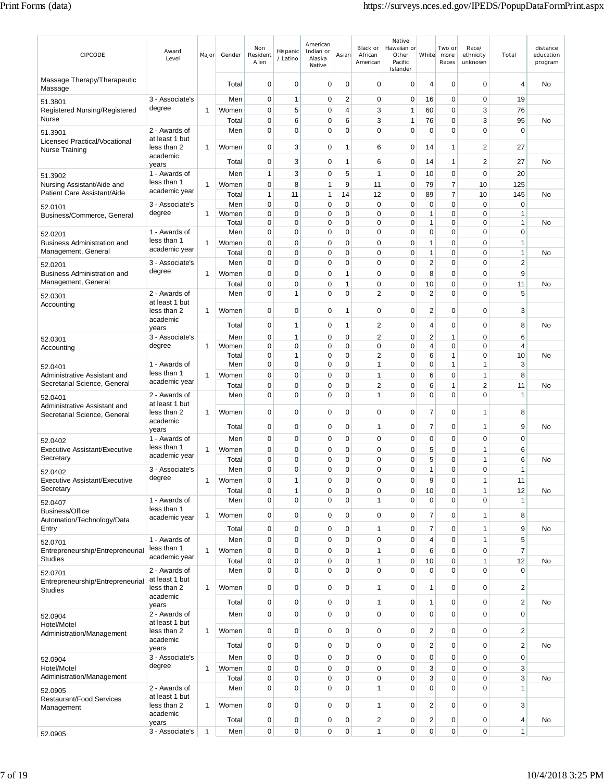| CIPCODE                                                      | Award<br>Level                  | Major        | Gender         | Non<br>Resident<br>Alien   | Hispanic<br>/ Latino       | American<br>Indian or<br>Alaska<br>Native | Asian          | Black or<br>African<br>American | Native<br>Hawaiian or<br>Other<br>Pacific<br>Islander | White                       | Two or<br>more<br>Races | Race/<br>ethnicity<br>unknown | Total                       | distance<br>education<br>program |
|--------------------------------------------------------------|---------------------------------|--------------|----------------|----------------------------|----------------------------|-------------------------------------------|----------------|---------------------------------|-------------------------------------------------------|-----------------------------|-------------------------|-------------------------------|-----------------------------|----------------------------------|
| Massage Therapy/Therapeutic<br>Massage                       |                                 |              | Total          | $\mathbf 0$                | 0                          | 0                                         | $\mathbf 0$    | 0                               | 0                                                     | 4                           | $\mathbf 0$             | $\mathbf 0$                   | $\overline{4}$              | <b>No</b>                        |
| 51.3801                                                      | 3 - Associate's                 |              | Men            | 0                          | 1                          | $\mathbf 0$                               | $\overline{c}$ | 0                               | 0                                                     | 16                          | 0                       | 0                             | 19                          |                                  |
| Registered Nursing/Registered<br>Nurse                       | degree                          | 1            | Women<br>Total | $\mathbf 0$<br>0           | 5<br>6                     | 0<br>0                                    | 4<br>6         | 3<br>3                          | 1<br>1                                                | 60<br>76                    | 0<br>0                  | 3<br>3                        | 76<br>95                    | No                               |
| 51.3901                                                      | 2 - Awards of                   |              | Men            | $\mathbf 0$                | $\mathbf 0$                | $\mathbf 0$                               | 0              | $\Omega$                        | $\mathbf 0$                                           | $\mathbf 0$                 | 0                       | $\Omega$                      | $\mathbf 0$                 |                                  |
| Licensed Practical/Vocational<br>Nurse Training              | at least 1 but<br>less than 2   | 1            | Women          | $\mathbf 0$                | 3                          | 0                                         | 1              | 6                               | 0                                                     | 14                          | 1                       | 2                             | 27                          |                                  |
|                                                              | academic                        |              | Total          | 0                          | 3                          | 0                                         | 1              | 6                               | 0                                                     | 14                          | 1                       | 2                             | 27                          | No                               |
|                                                              | years<br>1 - Awards of          |              | Men            | $\mathbf{1}$               | 3                          | 0                                         | 5              | 1                               | 0                                                     | 10                          | 0                       | $\mathbf 0$                   | 20                          |                                  |
| 51.3902<br>Nursing Assistant/Aide and                        | less than 1<br>academic year    | 1            | Women          | $\mathbf 0$                | 8                          | 1                                         | 9              | 11                              | 0                                                     | 79                          | 7                       | 10                            | 125                         |                                  |
| Patient Care Assistant/Aide                                  |                                 |              | Total          | $\mathbf{1}$               | 11                         | 1                                         | 14             | 12                              | 0                                                     | 89                          | $\overline{7}$          | 10                            | 145                         | <b>No</b>                        |
| 52.0101                                                      | 3 - Associate's<br>degree       | 1            | Men<br>Women   | $\mathbf 0$<br>$\mathbf 0$ | $\mathbf 0$<br>$\mathbf 0$ | 0<br>0                                    | 0<br>0         | $\mathbf 0$<br>0                | $\mathbf 0$<br>$\mathbf 0$                            | $\mathbf 0$<br>$\mathbf{1}$ | $\mathbf 0$<br>0        | $\mathbf 0$<br>$\mathbf 0$    | $\mathbf 0$<br>$\mathbf{1}$ |                                  |
| Business/Commerce, General                                   |                                 |              | Total          | $\mathbf 0$                | $\mathbf 0$                | 0                                         | 0              | 0                               | $\mathbf 0$                                           | $\mathbf{1}$                | 0                       | $\mathbf 0$                   | $\mathbf{1}$                | No                               |
| 52.0201                                                      | 1 - Awards of                   |              | Men            | $\mathbf 0$                | 0                          | 0                                         | 0              | 0                               | 0                                                     | 0                           | 0                       | $\mathbf 0$                   | $\mathbf 0$                 |                                  |
| <b>Business Administration and</b>                           | less than 1<br>academic year    | 1            | Women          | $\mathbf 0$                | $\mathbf 0$                | $\mathbf 0$                               | 0              | $\mathbf 0$                     | $\pmb{0}$                                             | $\mathbf{1}$                | $\mathbf 0$             | $\mathbf 0$                   | $\mathbf{1}$                |                                  |
| Management, General                                          |                                 |              | Total          | $\mathbf 0$                | $\mathbf 0$                | 0                                         | 0              | $\mathbf 0$                     | $\mathbf 0$                                           | $\mathbf{1}$                | 0                       | 0                             | $\mathbf{1}$                | No                               |
| 52.0201                                                      | 3 - Associate's<br>degree       |              | Men            | 0                          | 0                          | 0                                         | 0              | 0                               | 0                                                     | $\overline{2}$              | 0                       | $\mathbf 0$                   | $\overline{2}$              |                                  |
| <b>Business Administration and</b>                           |                                 | 1            | Women          | 0                          | $\mathbf 0$                | 0                                         | 1              | 0                               | $\mathbf 0$                                           | 8                           | 0                       | $\mathbf 0$                   | 9                           |                                  |
| Management, General                                          |                                 |              | Total          | 0<br>$\mathbf 0$           | $\mathbf 0$                | 0<br>0                                    | 1<br>0         | 0<br>$\overline{2}$             | 0<br>0                                                | 10<br>$\overline{2}$        | 0<br>0                  | $\mathbf 0$<br>$\mathbf 0$    | 11<br>5                     | No                               |
| 52.0301<br>Accounting                                        | 2 - Awards of<br>at least 1 but |              | Men            |                            | 1                          |                                           |                |                                 |                                                       |                             |                         |                               |                             |                                  |
|                                                              | less than 2<br>academic         | 1            | Women          | $\mathbf 0$                | $\mathbf 0$                | 0                                         | 1              | 0                               | 0                                                     | $\boldsymbol{2}$            | 0                       | $\mathbf 0$                   | 3                           |                                  |
|                                                              | years                           |              | Total          | $\mathbf 0$                | 1                          | $\mathbf 0$                               | 1              | $\overline{2}$                  | 0                                                     | 4                           | $\mathbf 0$             | $\mathbf 0$                   | 8                           | No                               |
| 52.0301                                                      | 3 - Associate's                 |              | Men            | $\mathbf 0$                | 1                          | $\mathbf 0$                               | $\mathbf 0$    | $\overline{2}$                  | 0                                                     | $\overline{2}$              | 1                       | $\mathbf 0$                   | 6                           |                                  |
| Accounting                                                   | degree                          | 1            | Women          | $\mathbf 0$                | $\mathbf 0$                | 0                                         | 0              | 0                               | $\mathbf 0$                                           | 4                           | $\mathbf 0$             | $\mathbf 0$                   | 4                           |                                  |
|                                                              | 1 - Awards of                   |              | Total<br>Men   | 0<br>0                     | 1<br>0                     | 0<br>0                                    | 0<br>0         | 2<br>1                          | $\mathbf 0$<br>$\mathbf 0$                            | 6<br>0                      | 1<br>1                  | $\mathbf 0$<br>1              | 10<br>3                     | No                               |
| 52.0401                                                      | less than 1                     |              | Women          | $\mathbf 0$                | 0                          | 0                                         | 0              | 1                               | 0                                                     | 6                           | 0                       | 1                             | 8                           |                                  |
| Administrative Assistant and<br>Secretarial Science, General | academic year                   | 1            | Total          | 0                          | 0                          | 0                                         | 0              | 2                               | 0                                                     | 6                           | 1                       | 2                             | 11                          | No                               |
| 52.0401                                                      | 2 - Awards of                   |              | Men            | 0                          | $\mathbf 0$                | 0                                         | 0              | 1                               | $\mathbf 0$                                           | $\mathbf 0$                 | 0                       | $\Omega$                      | $\overline{1}$              |                                  |
| Administrative Assistant and                                 | at least 1 but                  |              |                |                            |                            |                                           |                |                                 |                                                       |                             |                         |                               |                             |                                  |
| Secretarial Science, General                                 | less than 2                     | 1            | Women          | $\mathbf 0$                | 0                          | 0                                         | $\mathbf 0$    | 0                               | 0                                                     | $\overline{7}$              | 0                       | 1                             | 8                           |                                  |
|                                                              | academic<br>years               |              | Total          | 0                          | 0                          | 0                                         | 0              | 1                               | 0                                                     | 7                           | 0                       | 1                             | 9                           | No                               |
| 52.0402                                                      | 1 - Awards of                   |              | Men            | 0                          | 0                          | 0                                         | 0              | 0                               | 0                                                     | 0                           | 0                       | $\mathbf 0$                   | 0                           |                                  |
| <b>Executive Assistant/Executive</b>                         | less than 1                     | 1            | Women          | $\mathbf 0$                | $\mathbf 0$                | $\mathbf 0$                               | 0              | 0                               | 0                                                     | 5                           | $\mathbf 0$             | $\mathbf{1}$                  | 6                           |                                  |
| Secretary                                                    | academic year                   |              | Total          | $\mathbf 0$                | 0                          | 0                                         | 0              | 0                               | 0                                                     | 5                           | 0                       | 1                             | 6                           | No                               |
| 52.0402                                                      | 3 - Associate's                 |              | Men            | $\Omega$                   | $\mathbf 0$                | 0                                         | 0              | 0                               | 0                                                     | 1                           | 0                       | 0                             | 1                           |                                  |
| Executive Assistant/Executive                                | aegree                          | 1            | Women          | $\pmb{0}$                  | 1                          | 0                                         | 0              | 0                               | 0                                                     | 9                           | 0                       | 1                             | 11                          |                                  |
| Secretary                                                    |                                 |              | Total          | $\pmb{0}$                  | $\mathbf{1}$               | 0                                         | $\mathbf 0$    | 0                               | $\pmb{0}$                                             | 10                          | 0                       | 1                             | 12                          | No                               |
| 52.0407                                                      | 1 - Awards of<br>less than 1    |              | Men            | $\mathbf 0$                | $\mathbf 0$                | 0                                         | $\mathbf 0$    | 1                               | $\mathbf 0$                                           | $\mathbf 0$                 | $\mathbf 0$             | 0                             | $\mathbf{1}$                |                                  |
| <b>Business/Office</b><br>Automation/Technology/Data         | academic year                   | 1            | Women          | $\mathbf 0$                | $\mathbf 0$                | 0                                         | 0              | 0                               | $\mathbf 0$                                           | $\overline{7}$              | 0                       | 1                             | 8                           |                                  |
| Entry                                                        |                                 |              | Total          | $\mathbf 0$                | $\mathbf 0$                | 0                                         | $\mathbf 0$    | 1                               | $\mathbf 0$                                           | $\overline{7}$              | 0                       | 1                             | 9                           | No                               |
| 52.0701                                                      | 1 - Awards of                   |              | Men            | $\mathbf 0$                | $\mathbf 0$                | 0                                         | $\mathbf 0$    | 0                               | $\mathbf 0$                                           | 4                           | 0                       | 1                             | 5                           |                                  |
| Entrepreneurship/Entrepreneurial                             | less than 1                     | 1            | Women          | $\mathbf 0$                | $\mathbf 0$                | 0                                         | 0              | 1                               | $\mathbf 0$                                           | 6                           | 0                       | 0                             | $\overline{7}$              |                                  |
| <b>Studies</b>                                               | academic year                   |              | Total          | 0                          | $\mathbf 0$                | 0                                         | 0              | 1                               | $\mathbf 0$                                           | 10                          | 0                       | 1                             | 12                          | No                               |
| 52.0701                                                      | 2 - Awards of                   |              | Men            | $\mathbf 0$                | $\mathbf 0$                | 0                                         | $\mathbf 0$    | 0                               | $\mathbf 0$                                           | $\mathbf 0$                 | 0                       | $\mathbf 0$                   | $\mathbf 0$                 |                                  |
| Entrepreneurship/Entrepreneurial                             | at least 1 but<br>less than 2   |              | Women          | $\mathbf 0$                | $\mathbf 0$                | 0                                         | 0              | 1                               | $\mathbf 0$                                           | $\overline{1}$              | 0                       | 0                             | $\overline{2}$              |                                  |
| Studies                                                      | academic                        | 1            |                |                            |                            |                                           |                |                                 |                                                       |                             |                         |                               |                             |                                  |
|                                                              | years                           |              | Total          | $\pmb{0}$                  | $\mathbf 0$                | 0                                         | 0              | 1                               | $\pmb{0}$                                             | $\mathbf{1}$                | 0                       | 0                             | $\overline{2}$              | <b>No</b>                        |
| 52.0904                                                      | 2 - Awards of                   |              | Men            | $\mathbf 0$                | $\overline{0}$             | 0                                         | $\mathbf 0$    | 0                               | $\mathbf 0$                                           | $\mathbf 0$                 | 0                       | $\Omega$                      | $\mathbf 0$                 |                                  |
| Hotel/Motel                                                  | at least 1 but<br>less than 2   | 1            | Women          | $\mathbf 0$                | 0                          | 0                                         | 0              | 0                               | 0                                                     | $\overline{2}$              | 0                       | 0                             | $\overline{2}$              |                                  |
| Administration/Management                                    | academic                        |              |                |                            |                            |                                           |                |                                 |                                                       |                             |                         |                               |                             |                                  |
|                                                              | years                           |              | Total          | $\mathbf 0$                | $\mathbf 0$                | 0                                         | $\mathbf 0$    | $\mathbf 0$                     | $\mathbf 0$                                           | $\overline{2}$              | 0                       | $\mathbf 0$                   | $\overline{2}$              | No                               |
| 52.0904                                                      | 3 - Associate's<br>degree       |              | Men            | $\mathbf 0$                | $\mathbf 0$                | 0                                         | $\mathbf 0$    | $\mathbf 0$                     | $\mathbf 0$                                           | $\mathbf 0$                 | 0                       | $\mathbf 0$                   | $\mathbf 0$                 |                                  |
| Hotel/Motel<br>Administration/Management                     |                                 | 1            | Women          | $\pmb{0}$                  | $\mathbf 0$                | $\mathbf 0$                               | 0              | $\mathbf 0$                     | $\pmb{0}$                                             | 3                           | 0                       | $\mathbf 0$                   | 3                           |                                  |
|                                                              | 2 - Awards of                   |              | Total<br>Men   | $\pmb{0}$<br>$\mathbf 0$   | $\mathbf 0$<br>$\mathbf 0$ | 0<br>0                                    | 0<br>0         | 0<br>1                          | $\mathbf 0$<br>$\mathbf 0$                            | 3<br>$\mathbf 0$            | 0<br>0                  | 0<br>0                        | 3<br>$\mathbf{1}$           | No                               |
| 52.0905<br>Restaurant/Food Services                          | at least 1 but                  |              |                |                            |                            |                                           |                |                                 |                                                       |                             |                         |                               |                             |                                  |
| Management                                                   | less than 2                     | 1            | Women          | $\mathbf 0$                | $\mathbf 0$                | 0                                         | 0              | 1                               | $\mathbf 0$                                           | $\overline{2}$              | 0                       | 0                             | 3                           |                                  |
|                                                              | academic<br>years               |              | Total          | $\pmb{0}$                  | 0                          | 0                                         | $\mathbf 0$    | 2                               | 0                                                     | $\overline{\mathbf{c}}$     | 0                       | 0                             | 4                           | No                               |
| 52.0905                                                      | 3 - Associate's                 | $\mathbf{1}$ | Men            | $\mathbf 0$                | $\mathbf 0$                | 0                                         | 0              | $\mathbf{1}$                    | $\mathbf 0$                                           | $\mathbf 0$                 | $\mathbf{0}$            | $\mathbf 0$                   | $\mathbf{1}$                |                                  |
|                                                              |                                 |              |                |                            |                            |                                           |                |                                 |                                                       |                             |                         |                               |                             |                                  |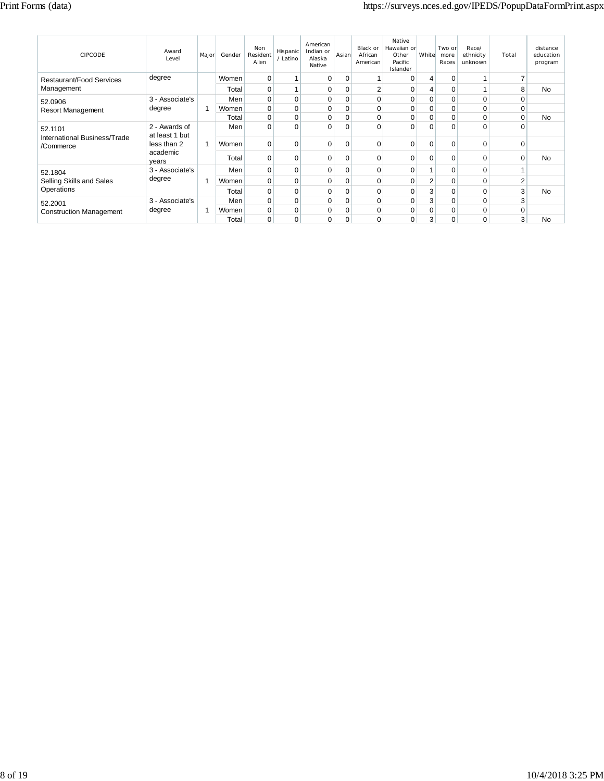| <b>CIPCODE</b>                          | Award<br>I evel                 | Major | Gender | <b>Non</b><br>Resident<br>Alien | Hispanic<br>/ Latino | American<br>Indian or<br>Alaska<br>Native | Asian       | Black or<br>African<br>American | Native<br>Hawaiian or<br>Other<br>Pacific<br>Islander | White    | Two or<br>more<br>Races | Race/<br>ethnicity<br>unknown | Total | distance<br>education<br>program |
|-----------------------------------------|---------------------------------|-------|--------|---------------------------------|----------------------|-------------------------------------------|-------------|---------------------------------|-------------------------------------------------------|----------|-------------------------|-------------------------------|-------|----------------------------------|
| Restaurant/Food Services                | degree                          |       | Women  | 0                               |                      | 0                                         | 0           | 1                               | $\Omega$                                              | 4        | $\Omega$                |                               |       |                                  |
| Management                              |                                 |       | Total  | 0                               |                      | 0                                         | 0           | $\overline{2}$                  | $\Omega$                                              | 4        | $\Omega$                |                               | 8     | <b>No</b>                        |
| 52.0906                                 | 3 - Associate's                 |       | Men    | 0                               | 0                    | 0                                         | 0           | $\mathbf 0$                     | 0                                                     | 0        | 0                       | 0                             | 0     |                                  |
| <b>Resort Management</b>                | degree                          |       | Women  | 0                               | $\Omega$             | 0                                         | $\mathbf 0$ | $\mathbf 0$                     | $\Omega$                                              | 0        | $\mathbf 0$             | $\Omega$                      | 0     |                                  |
|                                         |                                 |       | Total  | 0                               | $\Omega$             | 0                                         | 0           | $\mathbf 0$                     | $\Omega$                                              | 0        | $\Omega$                | $\Omega$                      | 0     | No                               |
| 52.1101<br>International Business/Trade | 2 - Awards of<br>at least 1 but |       | Men    | 0                               | $\Omega$             | $\Omega$                                  | 0           | $\Omega$                        | $\Omega$                                              | $\Omega$ | $\Omega$                | $\Omega$                      | 0     |                                  |
| /Commerce                               | less than 2                     | 1     | Women  | 0                               | $\Omega$             | 0                                         | 0           | 0                               | $\Omega$                                              | 0        | $\Omega$                | 0                             | 0     |                                  |
|                                         | academic<br>years               |       | Total  | 0                               | $\Omega$             | 0                                         | $\mathbf 0$ | 0                               | $\Omega$                                              | 0        | $\Omega$                | 0                             | 0     | No                               |
| 52.1804                                 | 3 - Associate's                 |       | Men    | 0                               | $\Omega$             | 0                                         | 0           | $\mathbf 0$                     | $\Omega$                                              |          | $\Omega$                | 0                             |       |                                  |
| Selling Skills and Sales                | degree                          |       | Women  | 0                               | $\Omega$             | 0                                         | $\mathbf 0$ | $\mathbf 0$                     | $\Omega$                                              | 2        | $\mathbf 0$             | $\Omega$                      | 2     |                                  |
| Operations                              |                                 |       | Total  | 0                               | $\Omega$             | 0                                         | $\mathbf 0$ | $\mathbf 0$                     | $\Omega$                                              | 3        | $\Omega$                | 0                             | 3     | No                               |
| 52.2001                                 | 3 - Associate's                 |       | Men    | 0                               | $\Omega$             | 0                                         | $\mathbf 0$ | $\mathbf 0$                     | 0                                                     | 3        | $\Omega$                | 0                             | 3     |                                  |
| <b>Construction Management</b>          | degree                          |       | Women  | 0                               | $\Omega$             | 0                                         | 0           | $\mathbf 0$                     | 0                                                     | 0        | $\mathbf 0$             | 0                             | 0     |                                  |
|                                         |                                 |       | Total  | 0                               | 0                    | $\mathbf 0$                               | 0           | 0                               | $\Omega$                                              | 3        | 0                       | $\Omega$                      | 3     | No                               |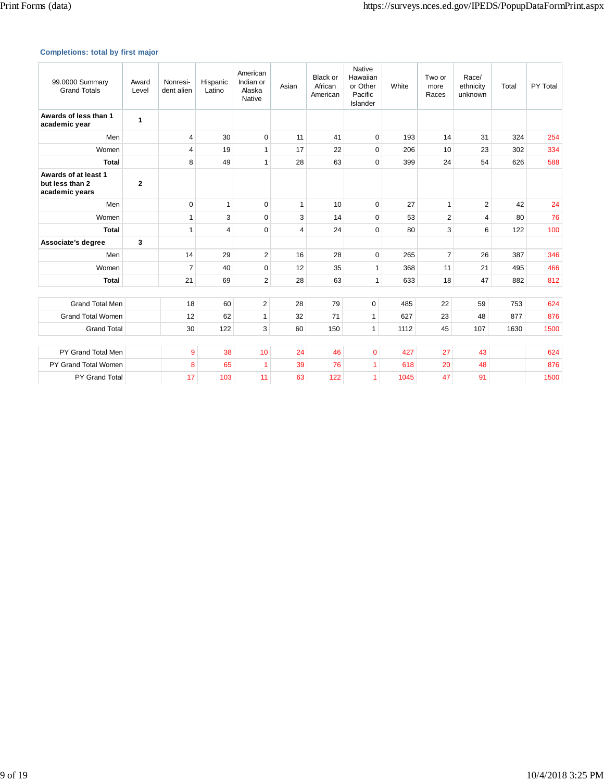# **Completions: total by first major**

| 99.0000 Summary<br><b>Grand Totals</b>                    | Award<br>Level | Nonresi-<br>dent alien | Hispanic<br>Latino | American<br>Indian or<br>Alaska<br>Native | Asian          | <b>Black or</b><br>African<br>American | Native<br>Hawaiian<br>or Other<br>Pacific<br><b>Islander</b> | White | Two or<br>more<br>Races | Race/<br>ethnicity<br>unknown | Total | PY Total |
|-----------------------------------------------------------|----------------|------------------------|--------------------|-------------------------------------------|----------------|----------------------------------------|--------------------------------------------------------------|-------|-------------------------|-------------------------------|-------|----------|
| Awards of less than 1<br>academic year                    | 1              |                        |                    |                                           |                |                                        |                                                              |       |                         |                               |       |          |
| Men                                                       |                | 4                      | 30                 | $\mathbf 0$                               | 11             | 41                                     | 0                                                            | 193   | 14                      | 31                            | 324   | 254      |
| Women                                                     |                | 4                      | 19                 | $\mathbf{1}$                              | 17             | 22                                     | $\mathbf 0$                                                  | 206   | 10                      | 23                            | 302   | 334      |
| <b>Total</b>                                              |                | 8                      | 49                 | $\mathbf{1}$                              | 28             | 63                                     | $\mathbf 0$                                                  | 399   | 24                      | 54                            | 626   | 588      |
| Awards of at least 1<br>but less than 2<br>academic years | $\mathbf{2}$   |                        |                    |                                           |                |                                        |                                                              |       |                         |                               |       |          |
| Men                                                       |                | $\Omega$               | $\mathbf{1}$       | $\mathbf 0$                               | $\mathbf{1}$   | 10                                     | $\mathbf 0$                                                  | 27    | $\mathbf{1}$            | $\overline{2}$                | 42    | 24       |
| Women                                                     |                | 1                      | 3                  | $\mathbf 0$                               | 3              | 14                                     | $\mathbf 0$                                                  | 53    | $\overline{2}$          | 4                             | 80    | 76       |
| <b>Total</b>                                              |                | 1                      | $\overline{4}$     | $\mathbf 0$                               | $\overline{4}$ | 24                                     | $\mathbf 0$                                                  | 80    | 3                       | 6                             | 122   | 100      |
| Associate's degree                                        | 3              |                        |                    |                                           |                |                                        |                                                              |       |                         |                               |       |          |
| Men                                                       |                | 14                     | 29                 | 2                                         | 16             | 28                                     | $\mathbf 0$                                                  | 265   | $\overline{7}$          | 26                            | 387   | 346      |
| Women                                                     |                | $\overline{7}$         | 40                 | $\mathbf 0$                               | 12             | 35                                     | $\mathbf{1}$                                                 | 368   | 11                      | 21                            | 495   | 466      |
| <b>Total</b>                                              |                | 21                     | 69                 | $\overline{2}$                            | 28             | 63                                     | $\mathbf{1}$                                                 | 633   | 18                      | 47                            | 882   | 812      |
|                                                           |                |                        |                    |                                           |                |                                        |                                                              |       |                         |                               |       |          |
| <b>Grand Total Men</b>                                    |                | 18                     | 60                 | $\overline{2}$                            | 28             | 79                                     | $\pmb{0}$                                                    | 485   | 22                      | 59                            | 753   | 624      |
| <b>Grand Total Women</b>                                  |                | 12                     | 62                 | $\mathbf{1}$                              | 32             | 71                                     | $\mathbf{1}$                                                 | 627   | 23                      | 48                            | 877   | 876      |
| <b>Grand Total</b>                                        |                | 30                     | 122                | 3                                         | 60             | 150                                    | $\mathbf{1}$                                                 | 1112  | 45                      | 107                           | 1630  | 1500     |
|                                                           |                |                        |                    |                                           |                |                                        |                                                              |       |                         |                               |       |          |
| PY Grand Total Men                                        |                | 9                      | 38                 | 10                                        | 24             | 46                                     | $\overline{0}$                                               | 427   | 27                      | 43                            |       | 624      |
| PY Grand Total Women                                      |                | 8                      | 65                 | $\overline{1}$                            | 39             | 76                                     | 1                                                            | 618   | 20                      | 48                            |       | 876      |
| PY Grand Total                                            |                | 17                     | 103                | 11                                        | 63             | 122                                    | 1                                                            | 1045  | 47                      | 91                            |       | 1500     |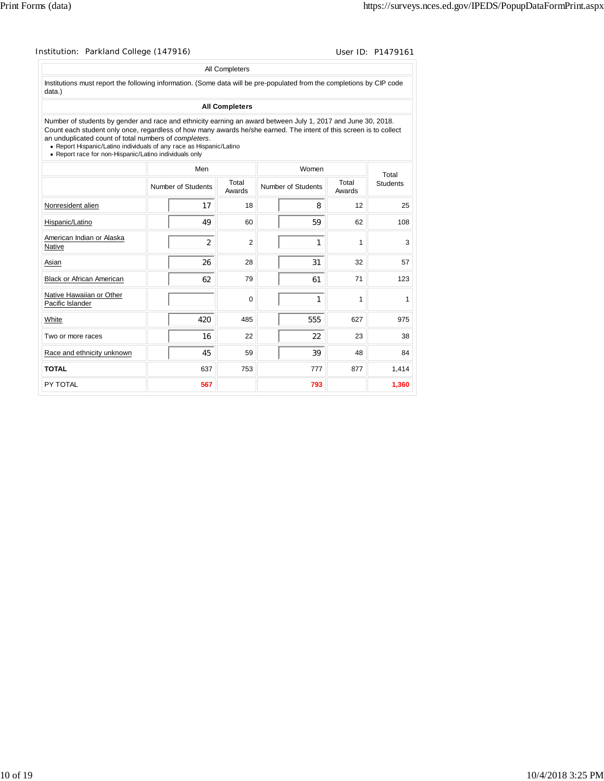| Institution: Parkland College (147916) | User ID: P1479161 |
|----------------------------------------|-------------------|

| Institutions must report the following information. (Some data will be pre-populated from the completions by CIP code<br>data.)<br><b>All Completers</b><br>Number of students by gender and race and ethnicity earning an award between July 1, 2017 and June 30, 2018.<br>Count each student only once, regardless of how many awards he/she earned. The intent of this screen is to collect<br>an unduplicated count of total numbers of completers. |       |                 |                 |
|---------------------------------------------------------------------------------------------------------------------------------------------------------------------------------------------------------------------------------------------------------------------------------------------------------------------------------------------------------------------------------------------------------------------------------------------------------|-------|-----------------|-----------------|
|                                                                                                                                                                                                                                                                                                                                                                                                                                                         |       |                 |                 |
|                                                                                                                                                                                                                                                                                                                                                                                                                                                         |       |                 |                 |
| • Report Hispanic/Latino individuals of any race as Hispanic/Latino<br>• Report race for non-Hispanic/Latino individuals only                                                                                                                                                                                                                                                                                                                           |       |                 |                 |
| Men                                                                                                                                                                                                                                                                                                                                                                                                                                                     | Women |                 | Total           |
| Total<br>Number of Students<br>Number of Students<br>Awards                                                                                                                                                                                                                                                                                                                                                                                             |       | Total<br>Awards | <b>Students</b> |
| Nonresident alien<br>17<br>18                                                                                                                                                                                                                                                                                                                                                                                                                           | 8     | 12              | 25              |
| 60<br>Hispanic/Latino<br>49                                                                                                                                                                                                                                                                                                                                                                                                                             | 59    | 62              | 108             |
| American Indian or Alaska<br>$\overline{2}$<br>$\overline{2}$<br>Native                                                                                                                                                                                                                                                                                                                                                                                 | 1     | 1               | 3               |
| 26<br>28<br>Asian                                                                                                                                                                                                                                                                                                                                                                                                                                       | 31    | 32              | 57              |
| 62<br><b>Black or African American</b><br>79                                                                                                                                                                                                                                                                                                                                                                                                            | 61    | 71              | 123             |
| Native Hawaiian or Other<br>$\mathbf 0$<br>Pacific Islander                                                                                                                                                                                                                                                                                                                                                                                             | 1     | 1               | 1               |
| 420<br>485<br>White                                                                                                                                                                                                                                                                                                                                                                                                                                     | 555   | 627             | 975             |
| 22<br>16<br>Two or more races                                                                                                                                                                                                                                                                                                                                                                                                                           | 22    | 23              | 38              |
| Race and ethnicity unknown<br>45<br>59                                                                                                                                                                                                                                                                                                                                                                                                                  | 39    | 48              | 84              |
| <b>TOTAL</b><br>637<br>753                                                                                                                                                                                                                                                                                                                                                                                                                              | 777   | 877             | 1,414           |
| 567<br>PY TOTAL                                                                                                                                                                                                                                                                                                                                                                                                                                         | 793   |                 | 1,360           |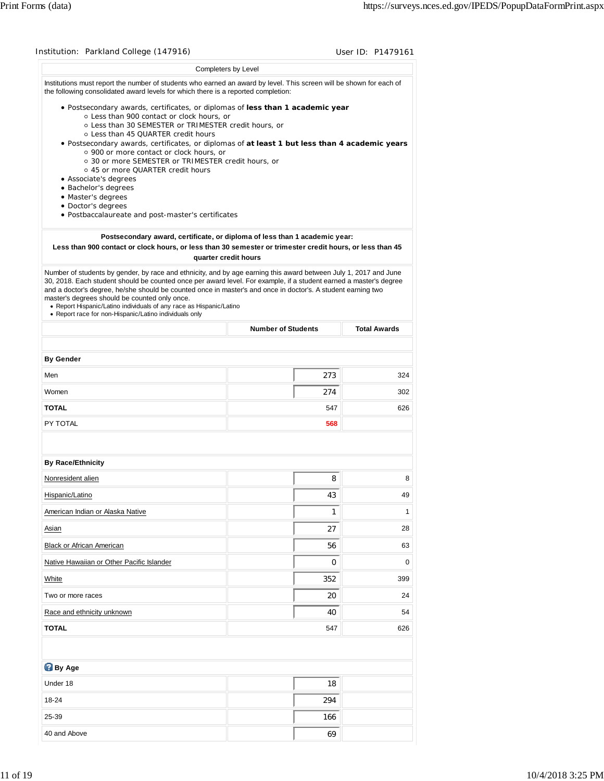|                                                                                                                                                                                                                                                                                                                                                                                                                                                                                                                                         |                                                                            | User ID: P1479161                |
|-----------------------------------------------------------------------------------------------------------------------------------------------------------------------------------------------------------------------------------------------------------------------------------------------------------------------------------------------------------------------------------------------------------------------------------------------------------------------------------------------------------------------------------------|----------------------------------------------------------------------------|----------------------------------|
|                                                                                                                                                                                                                                                                                                                                                                                                                                                                                                                                         | Completers by Level                                                        |                                  |
| Institutions must report the number of students who earned an award by level. This screen will be shown for each of<br>the following consolidated award levels for which there is a reported completion:                                                                                                                                                                                                                                                                                                                                |                                                                            |                                  |
| · Postsecondary awards, certificates, or diplomas of less than 1 academic year<br>o Less than 900 contact or clock hours, or<br>○ Less than 30 SEMESTER or TRIMESTER credit hours, or<br>○ Less than 45 QUARTER credit hours<br>. Postsecondary awards, certificates, or diplomas of at least 1 but less than 4 academic years<br>o 900 or more contact or clock hours, or                                                                                                                                                              |                                                                            |                                  |
| ○ 30 or more SEMESTER or TRIMESTER credit hours, or<br>○ 45 or more QUARTER credit hours                                                                                                                                                                                                                                                                                                                                                                                                                                                |                                                                            |                                  |
| • Associate's degrees                                                                                                                                                                                                                                                                                                                                                                                                                                                                                                                   |                                                                            |                                  |
| · Bachelor's degrees<br>· Master's degrees                                                                                                                                                                                                                                                                                                                                                                                                                                                                                              |                                                                            |                                  |
| • Doctor's degrees<br>· Postbaccalaureate and post-master's certificates                                                                                                                                                                                                                                                                                                                                                                                                                                                                |                                                                            |                                  |
|                                                                                                                                                                                                                                                                                                                                                                                                                                                                                                                                         |                                                                            |                                  |
| Less than 900 contact or clock hours, or less than 30 semester or trimester credit hours, or less than 45                                                                                                                                                                                                                                                                                                                                                                                                                               | Postsecondary award, certificate, or diploma of less than 1 academic year: |                                  |
|                                                                                                                                                                                                                                                                                                                                                                                                                                                                                                                                         | quarter credit hours                                                       |                                  |
| Number of students by gender, by race and ethnicity, and by age earning this award between July 1, 2017 and June<br>30, 2018. Each student should be counted once per award level. For example, if a student earned a master's degree<br>and a doctor's degree, he/she should be counted once in master's and once in doctor's. A student earning two<br>master's degrees should be counted only once.<br>• Report Hispanic/Latino individuals of any race as Hispanic/Latino<br>• Report race for non-Hispanic/Latino individuals only |                                                                            |                                  |
|                                                                                                                                                                                                                                                                                                                                                                                                                                                                                                                                         | <b>Number of Students</b>                                                  | <b>Total Awards</b>              |
| <b>By Gender</b>                                                                                                                                                                                                                                                                                                                                                                                                                                                                                                                        |                                                                            |                                  |
| Men                                                                                                                                                                                                                                                                                                                                                                                                                                                                                                                                     | 273                                                                        | 324                              |
| Women                                                                                                                                                                                                                                                                                                                                                                                                                                                                                                                                   | 274                                                                        | 302                              |
| <b>TOTAL</b>                                                                                                                                                                                                                                                                                                                                                                                                                                                                                                                            |                                                                            | 547<br>626                       |
| PY TOTAL                                                                                                                                                                                                                                                                                                                                                                                                                                                                                                                                |                                                                            | 568                              |
|                                                                                                                                                                                                                                                                                                                                                                                                                                                                                                                                         |                                                                            |                                  |
|                                                                                                                                                                                                                                                                                                                                                                                                                                                                                                                                         |                                                                            |                                  |
| <b>By Race/Ethnicity</b>                                                                                                                                                                                                                                                                                                                                                                                                                                                                                                                |                                                                            |                                  |
| Nonresident alien                                                                                                                                                                                                                                                                                                                                                                                                                                                                                                                       |                                                                            | 8<br>8                           |
| Hispanic/Latino                                                                                                                                                                                                                                                                                                                                                                                                                                                                                                                         |                                                                            | 43<br>49                         |
| American Indian or Alaska Native                                                                                                                                                                                                                                                                                                                                                                                                                                                                                                        |                                                                            | 1<br>1                           |
| Asian                                                                                                                                                                                                                                                                                                                                                                                                                                                                                                                                   |                                                                            | 27                               |
| <b>Black or African American</b>                                                                                                                                                                                                                                                                                                                                                                                                                                                                                                        |                                                                            | 56                               |
| Native Hawaiian or Other Pacific Islander                                                                                                                                                                                                                                                                                                                                                                                                                                                                                               |                                                                            | 0                                |
| White                                                                                                                                                                                                                                                                                                                                                                                                                                                                                                                                   | 352                                                                        |                                  |
| Two or more races                                                                                                                                                                                                                                                                                                                                                                                                                                                                                                                       |                                                                            | 20                               |
| Race and ethnicity unknown                                                                                                                                                                                                                                                                                                                                                                                                                                                                                                              |                                                                            | 40                               |
|                                                                                                                                                                                                                                                                                                                                                                                                                                                                                                                                         |                                                                            | 28<br>63<br>0<br>399<br>24<br>54 |
| <b>TOTAL</b>                                                                                                                                                                                                                                                                                                                                                                                                                                                                                                                            |                                                                            | 547<br>626                       |
| <b>By Age</b>                                                                                                                                                                                                                                                                                                                                                                                                                                                                                                                           |                                                                            |                                  |
| Under 18                                                                                                                                                                                                                                                                                                                                                                                                                                                                                                                                |                                                                            | 18                               |
| 18-24                                                                                                                                                                                                                                                                                                                                                                                                                                                                                                                                   | 294                                                                        |                                  |
| 25-39                                                                                                                                                                                                                                                                                                                                                                                                                                                                                                                                   | 166                                                                        |                                  |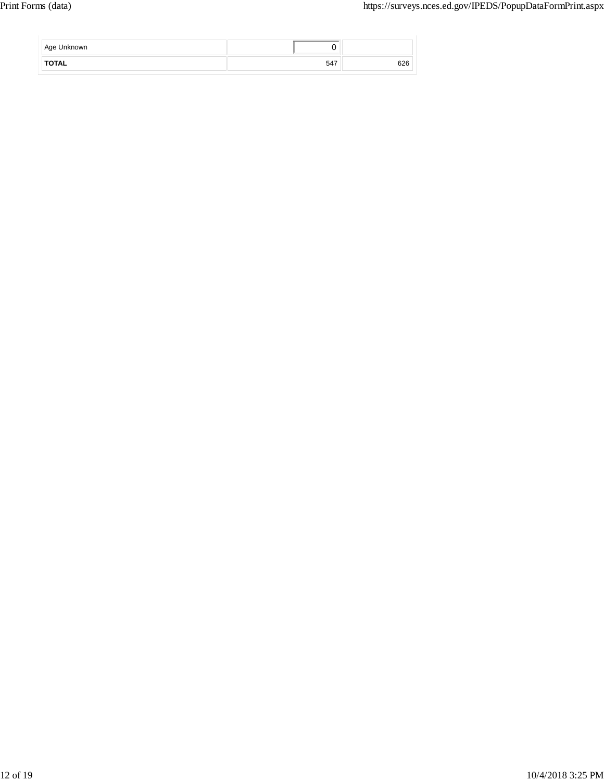| Age Unknown  |     |     |
|--------------|-----|-----|
| <b>TOTAL</b> | 547 | 626 |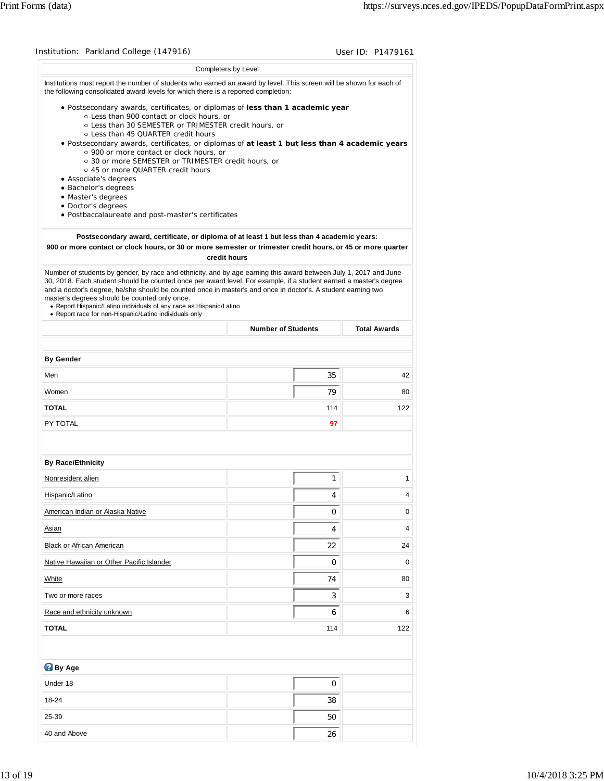|                                                                                                                                                                                                                                                                                                                                                                                                                                                                                                                                         |                                                                                            | User ID: P1479161                      |
|-----------------------------------------------------------------------------------------------------------------------------------------------------------------------------------------------------------------------------------------------------------------------------------------------------------------------------------------------------------------------------------------------------------------------------------------------------------------------------------------------------------------------------------------|--------------------------------------------------------------------------------------------|----------------------------------------|
|                                                                                                                                                                                                                                                                                                                                                                                                                                                                                                                                         | Completers by Level                                                                        |                                        |
| Institutions must report the number of students who earned an award by level. This screen will be shown for each of<br>the following consolidated award levels for which there is a reported completion:                                                                                                                                                                                                                                                                                                                                |                                                                                            |                                        |
| . Postsecondary awards, certificates, or diplomas of less than 1 academic year<br>o Less than 900 contact or clock hours, or<br>○ Less than 30 SEMESTER or TRIMESTER credit hours, or<br>o Less than 45 QUARTER credit hours<br>· Postsecondary awards, certificates, or diplomas of at least 1 but less than 4 academic years                                                                                                                                                                                                          |                                                                                            |                                        |
| ○ 900 or more contact or clock hours, or<br>○ 30 or more SEMESTER or TRIMESTER credit hours, or<br>○ 45 or more QUARTER credit hours                                                                                                                                                                                                                                                                                                                                                                                                    |                                                                                            |                                        |
| • Associate's degrees<br>• Bachelor's degrees                                                                                                                                                                                                                                                                                                                                                                                                                                                                                           |                                                                                            |                                        |
| · Master's degrees                                                                                                                                                                                                                                                                                                                                                                                                                                                                                                                      |                                                                                            |                                        |
| • Doctor's degrees<br>· Postbaccalaureate and post-master's certificates                                                                                                                                                                                                                                                                                                                                                                                                                                                                |                                                                                            |                                        |
|                                                                                                                                                                                                                                                                                                                                                                                                                                                                                                                                         |                                                                                            |                                        |
| 900 or more contact or clock hours, or 30 or more semester or trimester credit hours, or 45 or more quarter                                                                                                                                                                                                                                                                                                                                                                                                                             | Postsecondary award, certificate, or diploma of at least 1 but less than 4 academic years: |                                        |
|                                                                                                                                                                                                                                                                                                                                                                                                                                                                                                                                         | credit hours                                                                               |                                        |
| Number of students by gender, by race and ethnicity, and by age earning this award between July 1, 2017 and June<br>30, 2018. Each student should be counted once per award level. For example, if a student earned a master's degree<br>and a doctor's degree, he/she should be counted once in master's and once in doctor's. A student earning two<br>master's degrees should be counted only once.<br>• Report Hispanic/Latino individuals of any race as Hispanic/Latino<br>• Report race for non-Hispanic/Latino individuals only |                                                                                            |                                        |
|                                                                                                                                                                                                                                                                                                                                                                                                                                                                                                                                         | <b>Number of Students</b>                                                                  | <b>Total Awards</b>                    |
| <b>By Gender</b>                                                                                                                                                                                                                                                                                                                                                                                                                                                                                                                        |                                                                                            |                                        |
| Men                                                                                                                                                                                                                                                                                                                                                                                                                                                                                                                                     | 35                                                                                         | 42                                     |
| Women                                                                                                                                                                                                                                                                                                                                                                                                                                                                                                                                   | 79                                                                                         | 80                                     |
| <b>TOTAL</b>                                                                                                                                                                                                                                                                                                                                                                                                                                                                                                                            | 114                                                                                        | 122                                    |
| PY TOTAL                                                                                                                                                                                                                                                                                                                                                                                                                                                                                                                                | 97                                                                                         |                                        |
|                                                                                                                                                                                                                                                                                                                                                                                                                                                                                                                                         |                                                                                            |                                        |
| <b>By Race/Ethnicity</b>                                                                                                                                                                                                                                                                                                                                                                                                                                                                                                                |                                                                                            |                                        |
| Nonresident alien                                                                                                                                                                                                                                                                                                                                                                                                                                                                                                                       | 1                                                                                          | 1                                      |
|                                                                                                                                                                                                                                                                                                                                                                                                                                                                                                                                         |                                                                                            |                                        |
| Hispanic/Latino                                                                                                                                                                                                                                                                                                                                                                                                                                                                                                                         | 4                                                                                          |                                        |
| American Indian or Alaska Native                                                                                                                                                                                                                                                                                                                                                                                                                                                                                                        | 0                                                                                          |                                        |
| Asian                                                                                                                                                                                                                                                                                                                                                                                                                                                                                                                                   | 4                                                                                          |                                        |
| Black or African American                                                                                                                                                                                                                                                                                                                                                                                                                                                                                                               | 22                                                                                         |                                        |
| Native Hawaiian or Other Pacific Islander                                                                                                                                                                                                                                                                                                                                                                                                                                                                                               | 0                                                                                          |                                        |
| White                                                                                                                                                                                                                                                                                                                                                                                                                                                                                                                                   | 74                                                                                         |                                        |
| Two or more races                                                                                                                                                                                                                                                                                                                                                                                                                                                                                                                       | 3                                                                                          |                                        |
| Race and ethnicity unknown                                                                                                                                                                                                                                                                                                                                                                                                                                                                                                              | 6                                                                                          | 4<br>0<br>4<br>24<br>0<br>80<br>3<br>6 |
| <b>TOTAL</b>                                                                                                                                                                                                                                                                                                                                                                                                                                                                                                                            | 114                                                                                        | 122                                    |
|                                                                                                                                                                                                                                                                                                                                                                                                                                                                                                                                         |                                                                                            |                                        |
| <b>By Age</b>                                                                                                                                                                                                                                                                                                                                                                                                                                                                                                                           |                                                                                            |                                        |
| Under 18                                                                                                                                                                                                                                                                                                                                                                                                                                                                                                                                | 0                                                                                          |                                        |
| 18-24<br>25-39                                                                                                                                                                                                                                                                                                                                                                                                                                                                                                                          | 38<br>50                                                                                   |                                        |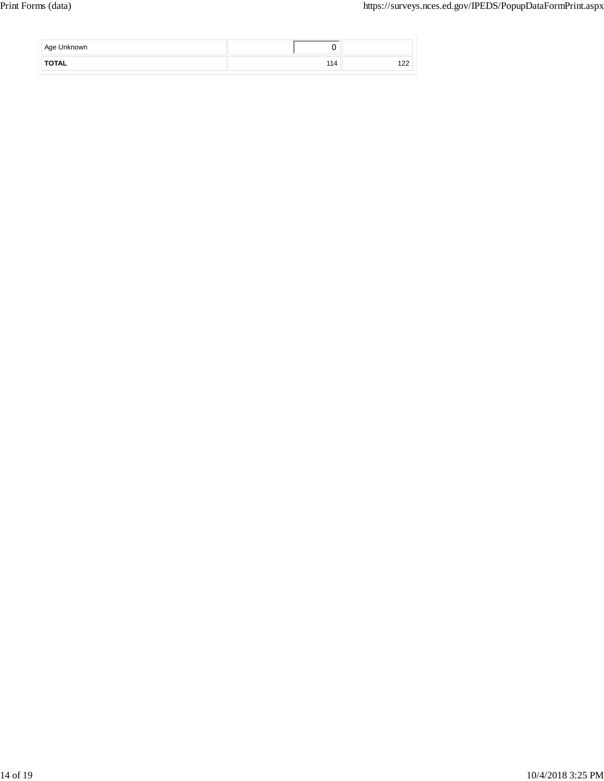| Age Unknown  |             |               |
|--------------|-------------|---------------|
| <b>TOTAL</b> | . .<br>' 14 | $\sim$<br>14C |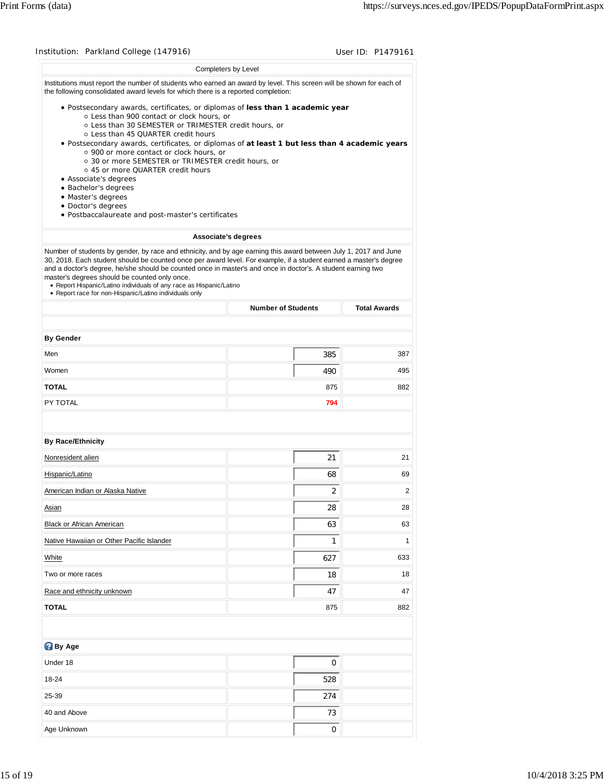| Institution: Parkland College (147916)                                                                                                                                                                                                                                                                                                                                                                                                                                                                                                  |                           | User ID: P1479161   |
|-----------------------------------------------------------------------------------------------------------------------------------------------------------------------------------------------------------------------------------------------------------------------------------------------------------------------------------------------------------------------------------------------------------------------------------------------------------------------------------------------------------------------------------------|---------------------------|---------------------|
|                                                                                                                                                                                                                                                                                                                                                                                                                                                                                                                                         | Completers by Level       |                     |
| Institutions must report the number of students who earned an award by level. This screen will be shown for each of<br>the following consolidated award levels for which there is a reported completion:                                                                                                                                                                                                                                                                                                                                |                           |                     |
| • Postsecondary awards, certificates, or diplomas of less than 1 academic year<br>o Less than 900 contact or clock hours, or<br>○ Less than 30 SEMESTER or TRIMESTER credit hours, or<br>o Less than 45 QUARTER credit hours<br>. Postsecondary awards, certificates, or diplomas of at least 1 but less than 4 academic years                                                                                                                                                                                                          |                           |                     |
| o 900 or more contact or clock hours, or<br>○ 30 or more SEMESTER or TRIMESTER credit hours, or<br>○ 45 or more QUARTER credit hours<br>• Associate's degrees                                                                                                                                                                                                                                                                                                                                                                           |                           |                     |
| • Bachelor's degrees                                                                                                                                                                                                                                                                                                                                                                                                                                                                                                                    |                           |                     |
| • Master's degrees<br>• Doctor's degrees                                                                                                                                                                                                                                                                                                                                                                                                                                                                                                |                           |                     |
| · Postbaccalaureate and post-master's certificates                                                                                                                                                                                                                                                                                                                                                                                                                                                                                      |                           |                     |
| Associate's degrees                                                                                                                                                                                                                                                                                                                                                                                                                                                                                                                     |                           |                     |
| Number of students by gender, by race and ethnicity, and by age earning this award between July 1, 2017 and June<br>30, 2018. Each student should be counted once per award level. For example, if a student earned a master's degree<br>and a doctor's degree, he/she should be counted once in master's and once in doctor's. A student earning two<br>master's degrees should be counted only once.<br>• Report Hispanic/Latino individuals of any race as Hispanic/Latino<br>• Report race for non-Hispanic/Latino individuals only |                           |                     |
|                                                                                                                                                                                                                                                                                                                                                                                                                                                                                                                                         | <b>Number of Students</b> | <b>Total Awards</b> |
|                                                                                                                                                                                                                                                                                                                                                                                                                                                                                                                                         |                           |                     |
| <b>By Gender</b>                                                                                                                                                                                                                                                                                                                                                                                                                                                                                                                        |                           |                     |
| Men                                                                                                                                                                                                                                                                                                                                                                                                                                                                                                                                     | 385                       | 387                 |
| Women                                                                                                                                                                                                                                                                                                                                                                                                                                                                                                                                   | 490                       | 495                 |
| <b>TOTAL</b>                                                                                                                                                                                                                                                                                                                                                                                                                                                                                                                            | 875                       | 882                 |
| PY TOTAL                                                                                                                                                                                                                                                                                                                                                                                                                                                                                                                                | 794                       |                     |
| <b>By Race/Ethnicity</b>                                                                                                                                                                                                                                                                                                                                                                                                                                                                                                                |                           |                     |
| Nonresident alien                                                                                                                                                                                                                                                                                                                                                                                                                                                                                                                       | 21                        | 21                  |
| Hispanic/Latino                                                                                                                                                                                                                                                                                                                                                                                                                                                                                                                         | 68                        | 69                  |
| American Indian or Alaska Native                                                                                                                                                                                                                                                                                                                                                                                                                                                                                                        | 2                         | 2                   |
| Asian                                                                                                                                                                                                                                                                                                                                                                                                                                                                                                                                   | 28                        | 28                  |
| Black or African American                                                                                                                                                                                                                                                                                                                                                                                                                                                                                                               | 63                        | 63                  |
| Native Hawaiian or Other Pacific Islander                                                                                                                                                                                                                                                                                                                                                                                                                                                                                               | $\mathbf{1}$              | 1                   |
| White                                                                                                                                                                                                                                                                                                                                                                                                                                                                                                                                   | 627                       | 633                 |
| Two or more races                                                                                                                                                                                                                                                                                                                                                                                                                                                                                                                       | 18                        | 18                  |
| Race and ethnicity unknown                                                                                                                                                                                                                                                                                                                                                                                                                                                                                                              | 47                        | 47                  |
| <b>TOTAL</b>                                                                                                                                                                                                                                                                                                                                                                                                                                                                                                                            | 875                       | 882                 |
|                                                                                                                                                                                                                                                                                                                                                                                                                                                                                                                                         |                           |                     |
| <b>By Age</b>                                                                                                                                                                                                                                                                                                                                                                                                                                                                                                                           |                           |                     |
| Under 18                                                                                                                                                                                                                                                                                                                                                                                                                                                                                                                                | 0                         |                     |
| 18-24                                                                                                                                                                                                                                                                                                                                                                                                                                                                                                                                   | 528                       |                     |
|                                                                                                                                                                                                                                                                                                                                                                                                                                                                                                                                         |                           |                     |
| 25-39                                                                                                                                                                                                                                                                                                                                                                                                                                                                                                                                   | 274                       |                     |
| 40 and Above                                                                                                                                                                                                                                                                                                                                                                                                                                                                                                                            | 73                        |                     |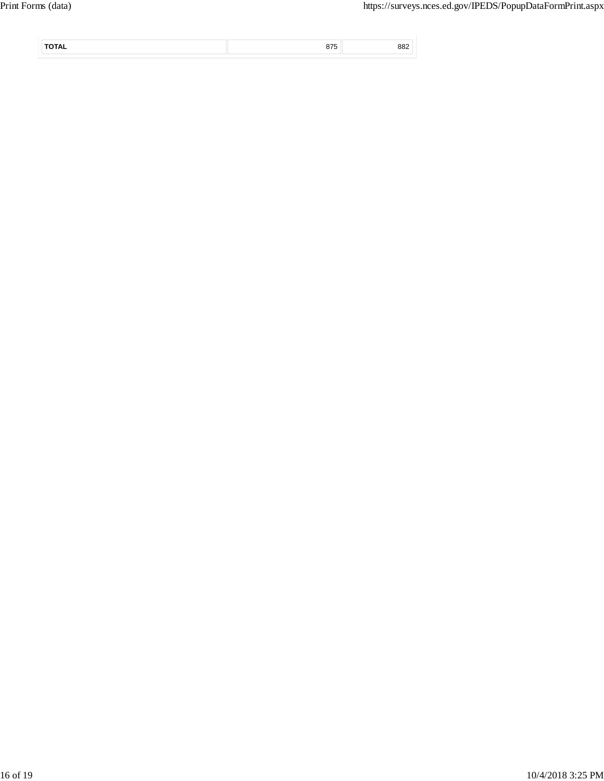|  | --- |  |
|--|-----|--|
|  |     |  |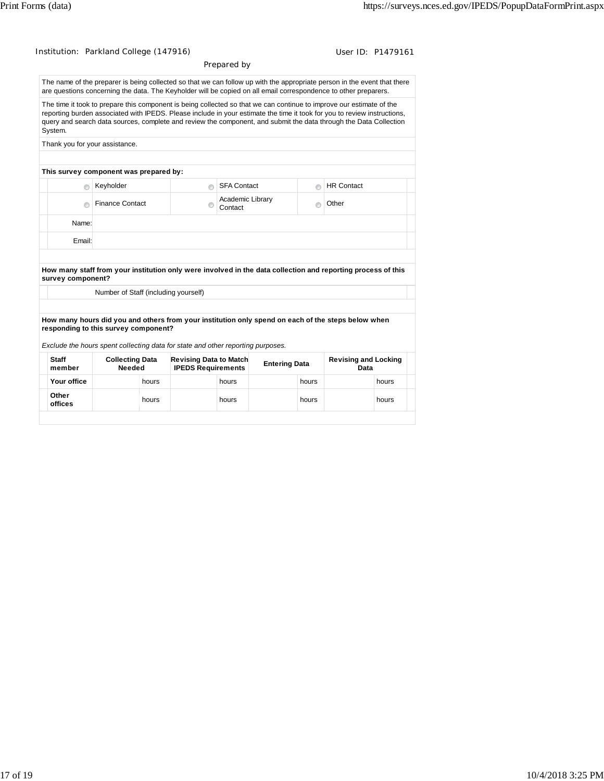| Institution: Parkland College (147916)                                                                                  |                                        |       |                                                     |                             |                      |         | User ID: P1479161                                                                                                                                                                                                                                                                                                                                                     |       |
|-------------------------------------------------------------------------------------------------------------------------|----------------------------------------|-------|-----------------------------------------------------|-----------------------------|----------------------|---------|-----------------------------------------------------------------------------------------------------------------------------------------------------------------------------------------------------------------------------------------------------------------------------------------------------------------------------------------------------------------------|-------|
|                                                                                                                         |                                        |       |                                                     | Prepared by                 |                      |         |                                                                                                                                                                                                                                                                                                                                                                       |       |
|                                                                                                                         |                                        |       |                                                     |                             |                      |         | The name of the preparer is being collected so that we can follow up with the appropriate person in the event that there<br>are questions concerning the data. The Keyholder will be copied on all email correspondence to other preparers.                                                                                                                           |       |
| System.                                                                                                                 |                                        |       |                                                     |                             |                      |         | The time it took to prepare this component is being collected so that we can continue to improve our estimate of the<br>reporting burden associated with IPEDS. Please include in your estimate the time it took for you to review instructions,<br>query and search data sources, complete and review the component, and submit the data through the Data Collection |       |
|                                                                                                                         | Thank you for your assistance.         |       |                                                     |                             |                      |         |                                                                                                                                                                                                                                                                                                                                                                       |       |
|                                                                                                                         | This survey component was prepared by: |       |                                                     |                             |                      |         |                                                                                                                                                                                                                                                                                                                                                                       |       |
| ⋒                                                                                                                       | Keyholder                              |       | $\circ$                                             | <b>SFA Contact</b>          |                      | $\circ$ | <b>HR Contact</b>                                                                                                                                                                                                                                                                                                                                                     |       |
|                                                                                                                         | <b>Finance Contact</b>                 |       | e                                                   | Academic Library<br>Contact |                      | $\odot$ | Other                                                                                                                                                                                                                                                                                                                                                                 |       |
| Name:                                                                                                                   |                                        |       |                                                     |                             |                      |         |                                                                                                                                                                                                                                                                                                                                                                       |       |
| Email:                                                                                                                  |                                        |       |                                                     |                             |                      |         |                                                                                                                                                                                                                                                                                                                                                                       |       |
| survey component?                                                                                                       | Number of Staff (including yourself)   |       |                                                     |                             |                      |         | How many staff from your institution only were involved in the data collection and reporting process of this<br>How many hours did you and others from your institution only spend on each of the steps below when                                                                                                                                                    |       |
| responding to this survey component?<br>Exclude the hours spent collecting data for state and other reporting purposes. |                                        |       |                                                     |                             |                      |         |                                                                                                                                                                                                                                                                                                                                                                       |       |
| <b>Staff</b><br>member                                                                                                  | <b>Collecting Data</b><br>Needed       |       | Revising Data to Match<br><b>IPEDS Requirements</b> |                             | <b>Entering Data</b> |         | <b>Revising and Locking</b><br>Data                                                                                                                                                                                                                                                                                                                                   |       |
| Your office                                                                                                             |                                        | hours |                                                     | hours                       |                      | hours   |                                                                                                                                                                                                                                                                                                                                                                       | hours |
| Other<br>offices                                                                                                        |                                        | hours |                                                     | hours                       |                      | hours   |                                                                                                                                                                                                                                                                                                                                                                       | hours |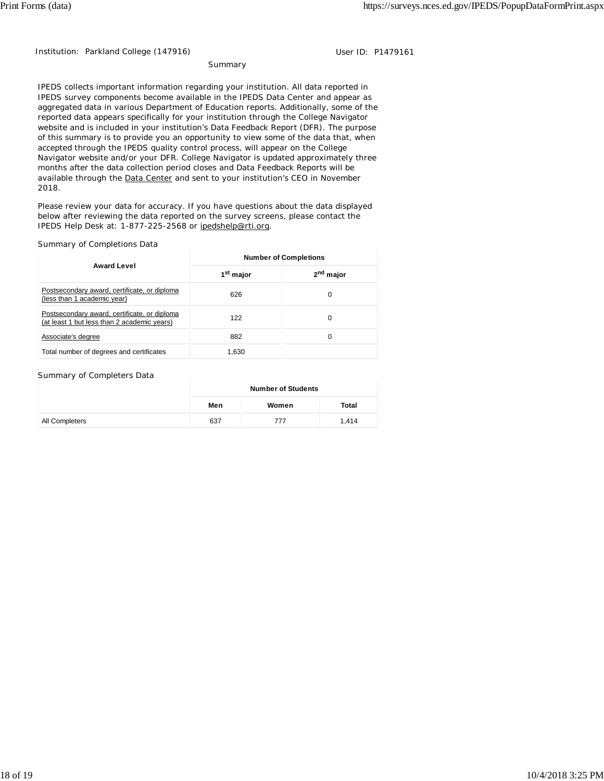Institution: Parkland College (147916) **Disk Research Properties College (1479161** 

**Summary** 

IPEDS collects important information regarding your institution. All data reported in IPEDS survey components become available in the IPEDS Data Center and appear as aggregated data in various Department of Education reports. Additionally, some of the reported data appears specifically for your institution through the College Navigator website and is included in your institution's Data Feedback Report (DFR). The purpose of this summary is to provide you an opportunity to view some of the data that, when accepted through the IPEDS quality control process, will appear on the College Navigator website and/or your DFR. College Navigator is updated approximately three months after the data collection period closes and Data Feedback Reports will be available through the Data Center and sent to your institution's CEO in November 2018.

Please review your data for accuracy. If you have questions about the data displayed below after reviewing the data reported on the survey screens, please contact the IPEDS Help Desk at: 1-877-225-2568 or ipedshelp@rti.org.

### Summary of Completions Data

|                                                                                             | <b>Number of Completions</b> |                       |  |  |  |
|---------------------------------------------------------------------------------------------|------------------------------|-----------------------|--|--|--|
| <b>Award Level</b>                                                                          | 1 <sup>st</sup> major        | 2 <sup>nd</sup> major |  |  |  |
| Postsecondary award, certificate, or diploma<br>(less than 1 academic year)                 | 626                          | 0                     |  |  |  |
| Postsecondary award, certificate, or diploma<br>(at least 1 but less than 2 academic years) | 122                          | 0                     |  |  |  |
| Associate's degree                                                                          | 882                          | 0                     |  |  |  |
| Total number of degrees and certificates                                                    | 1,630                        |                       |  |  |  |

#### Summary of Completers Data

|                | <b>Number of Students</b> |       |       |  |
|----------------|---------------------------|-------|-------|--|
|                | Men                       | Women | Total |  |
| All Completers | 637                       | 777   | 1.414 |  |